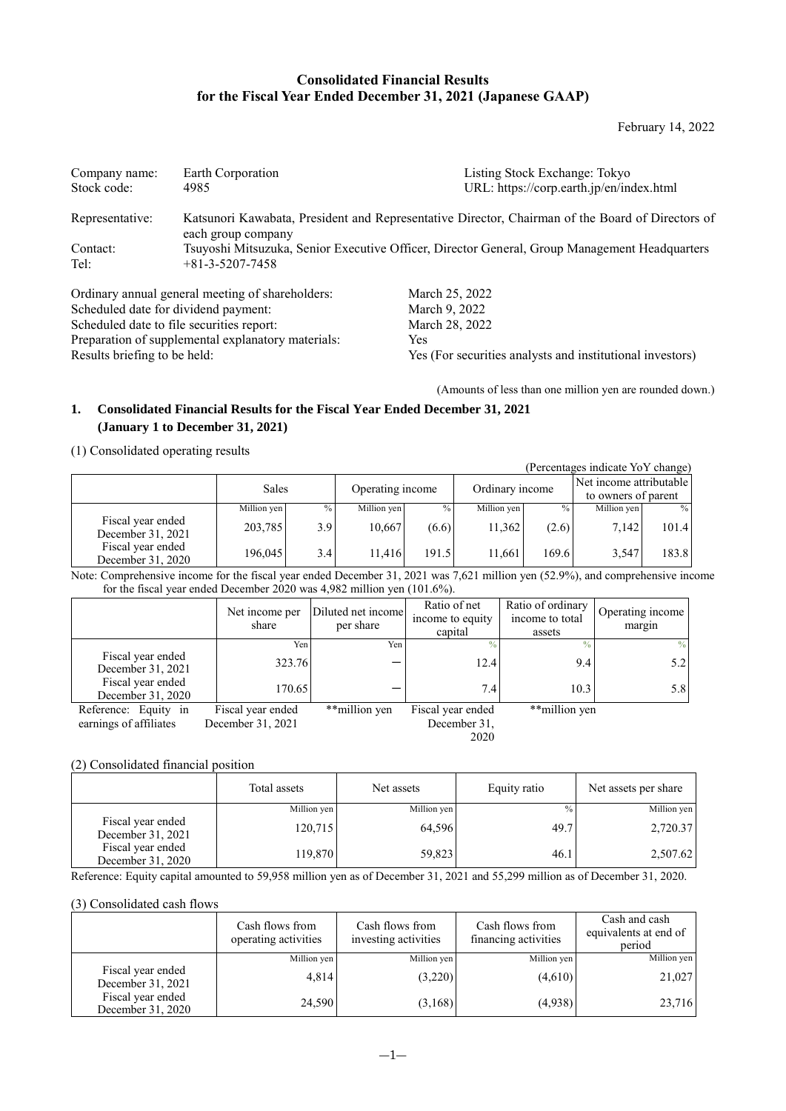## **Consolidated Financial Results for the Fiscal Year Ended December 31, 2021 (Japanese GAAP)**

February 14, 2022

| Company name:<br>Stock code: | Earth Corporation<br>4985                                                                     | Listing Stock Exchange: Tokyo<br>URL: https://corp.earth.jp/en/index.html                        |
|------------------------------|-----------------------------------------------------------------------------------------------|--------------------------------------------------------------------------------------------------|
| Representative:              | each group company                                                                            | Katsunori Kawabata, President and Representative Director, Chairman of the Board of Directors of |
| Contact:<br>Tel:             | Tsuyoshi Mitsuzuka, Senior Executive Officer, Director General, Group Management Headquarters |                                                                                                  |
|                              | Ordinary annual general meeting of shareholders:                                              | March 25, 2022                                                                                   |

Scheduled date for dividend payment: March 9, 2022<br>Scheduled date to file securities report: March 28, 2022 Scheduled date to file securities report: Preparation of supplemental explanatory materials: Yes<br>Results briefing to be held: Yes

Yes (For securities analysts and institutional investors)

(Amounts of less than one million yen are rounded down.)

## **1. Consolidated Financial Results for the Fiscal Year Ended December 31, 2021 (January 1 to December 31, 2021)**

### (1) Consolidated operating results

| (Percentages indicate YoY change)      |             |               |                  |               |                 |               |                         |       |  |
|----------------------------------------|-------------|---------------|------------------|---------------|-----------------|---------------|-------------------------|-------|--|
|                                        | Sales       |               | Operating income |               | Ordinary income |               | Net income attributable |       |  |
|                                        |             |               |                  |               |                 |               | to owners of parent     |       |  |
|                                        | Million yen | $\frac{0}{0}$ | Million yen      | $\frac{0}{0}$ | Million yen     | $\frac{0}{0}$ | Million yen             | $\%$  |  |
| Fiscal year ended<br>December 31, 2021 | 203,785     | 3.9           | 10,667           | (6.6)         | 11,362          | (2.6)         | 7,142                   | 101.4 |  |
| Fiscal year ended<br>December 31, 2020 | 196,045     | 3.4           | 11.416           | 191.5         | 11,661          | 169.6         | 3,547                   | 183.8 |  |

Note: Comprehensive income for the fiscal year ended December 31, 2021 was 7,621 million yen (52.9%), and comprehensive income for the fiscal year ended December 2020 was 4,982 million yen (101.6%).

|                                        | Net income per<br>share | Diluted net income<br>per share | Ratio of net<br>income to equity<br>capital | Ratio of ordinary<br>income to total<br>assets | Operating income<br>margin |
|----------------------------------------|-------------------------|---------------------------------|---------------------------------------------|------------------------------------------------|----------------------------|
|                                        | Yen                     | Yen                             |                                             | $\frac{0}{0}$                                  | %                          |
| Fiscal year ended<br>December 31, 2021 | 323.76                  |                                 | 12.4                                        | 9.4                                            | 5.2                        |
| Fiscal year ended<br>December 31, 2020 | 170.65                  |                                 | 7.4                                         | 10.3                                           | 5.8                        |
| Reference: Equity in                   | Fiscal year ended       | **million yen                   | Fiscal year ended                           | **million yen                                  |                            |
| earnings of affiliates                 | December 31, 2021       |                                 | December 31,                                |                                                |                            |
|                                        |                         |                                 | 2020                                        |                                                |                            |

### (2) Consolidated financial position

|                                        | Total assets | Net assets  | Equity ratio  | Net assets per share |
|----------------------------------------|--------------|-------------|---------------|----------------------|
|                                        | Million yen  | Million yen | $\frac{0}{0}$ | Million yen          |
| Fiscal year ended<br>December 31, 2021 | 120,715      | 64.596      | 49.7          | 2,720.37             |
| Fiscal year ended<br>December 31, 2020 | 119,870      | 59,823      | 46.1          | 2,507.62             |

Reference: Equity capital amounted to 59,958 million yen as of December 31, 2021 and 55,299 million as of December 31, 2020.

## (3) Consolidated cash flows

|                                        | Cash flows from<br>operating activities | Cash flows from<br>investing activities | Cash flows from<br>financing activities | Cash and cash<br>equivalents at end of<br>period |
|----------------------------------------|-----------------------------------------|-----------------------------------------|-----------------------------------------|--------------------------------------------------|
|                                        | Million yen                             | Million yen                             | Million yen                             | Million yen                                      |
| Fiscal year ended<br>December 31, 2021 | 4,814                                   | (3,220)                                 | (4,610)                                 | 21,027                                           |
| Fiscal year ended<br>December 31, 2020 | 24,590                                  | (3,168)                                 | (4,938)                                 | 23,716                                           |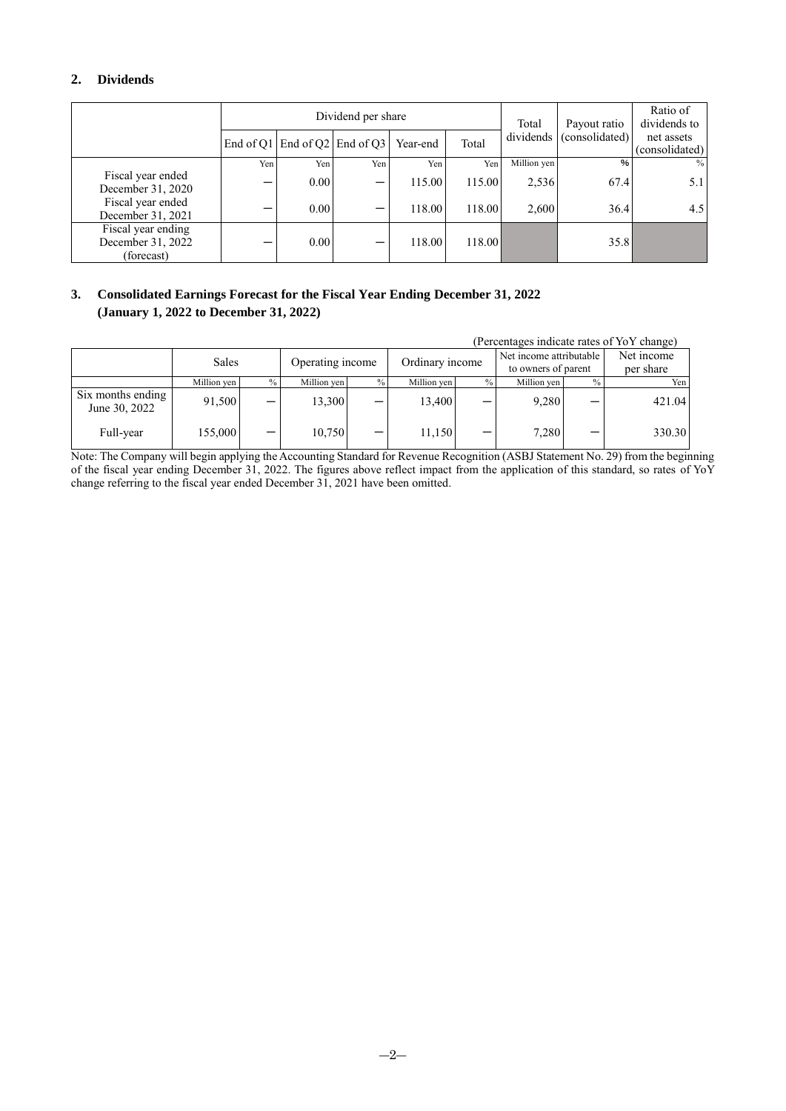## **2. Dividends**

|                                                       |     |      | Dividend per share                |          |        | Total                       | Payout ratio                 | Ratio of<br>dividends to |
|-------------------------------------------------------|-----|------|-----------------------------------|----------|--------|-----------------------------|------------------------------|--------------------------|
|                                                       |     |      | End of Q1   End of Q2   End of Q3 | Year-end | Total  | dividends<br>(consolidated) | net assets<br>(consolidated) |                          |
|                                                       | Yen | Yen  | Yen                               | Yen      | Yen    | Million yen                 | $\frac{9}{6}$                | $\frac{0}{0}$            |
| Fiscal year ended<br>December 31, 2020                |     | 0.00 | $\qquad \qquad$                   | 115.00   | 115.00 | 2,536                       | 67.4                         | 5.1                      |
| Fiscal year ended<br>December 31, 2021                |     | 0.00 | —                                 | 118.00   | 118.00 | 2,600                       | 36.4                         | 4.5                      |
| Fiscal year ending<br>December 31, 2022<br>(forecast) |     | 0.00 | –                                 | 118.00   | 118.00 |                             | 35.8                         |                          |

## **3. Consolidated Earnings Forecast for the Fiscal Year Ending December 31, 2022 (January 1, 2022 to December 31, 2022)**

|                                    |             |      |             |                  |                 |      |                     |                         | (Percentages indicate rates of YoY change) |
|------------------------------------|-------------|------|-------------|------------------|-----------------|------|---------------------|-------------------------|--------------------------------------------|
|                                    | Sales       |      |             | Operating income |                 |      |                     | Net income attributable |                                            |
|                                    |             |      |             |                  | Ordinary income |      | to owners of parent |                         | per share                                  |
|                                    | Million ven | $\%$ | Million ven | $\frac{0}{0}$    | Million ven     | $\%$ | Million yen         |                         | Yen I                                      |
| Six months ending<br>June 30, 2022 | 91,500      |      | 13,300      |                  | 13,400          |      | 9,280               |                         | 421.04                                     |
| Full-year                          | 155,000     |      | 10.750      |                  | 11,150          |      | 7,280               |                         | 330.30                                     |

Note: The Company will begin applying the Accounting Standard for Revenue Recognition (ASBJ Statement No. 29) from the beginning of the fiscal year ending December 31, 2022. The figures above reflect impact from the application of this standard, so rates of YoY change referring to the fiscal year ended December 31, 2021 have been omitted.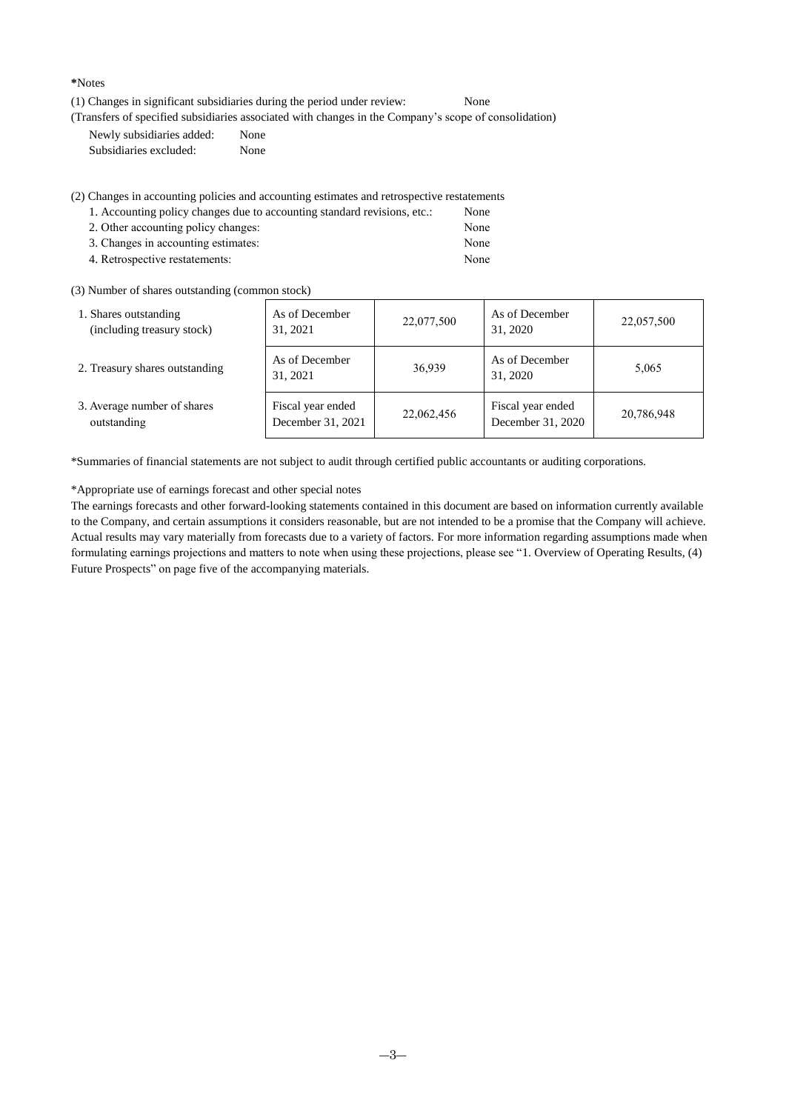**\***Notes

(1) Changes in significant subsidiaries during the period under review: None

(Transfers of specified subsidiaries associated with changes in the Company's scope of consolidation)

Newly subsidiaries added: None Subsidiaries excluded: None

(2) Changes in accounting policies and accounting estimates and retrospective restatements

| 1. Accounting policy changes due to accounting standard revisions, etc.: | None |
|--------------------------------------------------------------------------|------|
| 2. Other accounting policy changes:                                      | None |
| 3. Changes in accounting estimates:                                      | None |
| 4. Retrospective restatements:                                           | None |

(3) Number of shares outstanding (common stock)

| 1. Shares outstanding<br>(including treasury stock) | As of December<br>31, 2021             | 22,077,500 | As of December<br>31, 2020             | 22,057,500 |
|-----------------------------------------------------|----------------------------------------|------------|----------------------------------------|------------|
| 2. Treasury shares outstanding                      | As of December<br>31, 2021             | 36,939     | As of December<br>31, 2020             | 5,065      |
| 3. Average number of shares<br>outstanding          | Fiscal year ended<br>December 31, 2021 | 22,062,456 | Fiscal year ended<br>December 31, 2020 | 20,786,948 |

\*Summaries of financial statements are not subject to audit through certified public accountants or auditing corporations.

\*Appropriate use of earnings forecast and other special notes

The earnings forecasts and other forward-looking statements contained in this document are based on information currently available to the Company, and certain assumptions it considers reasonable, but are not intended to be a promise that the Company will achieve. Actual results may vary materially from forecasts due to a variety of factors. For more information regarding assumptions made when formulating earnings projections and matters to note when using these projections, please see "1. Overview of Operating Results, (4) Future Prospects" on page five of the accompanying materials.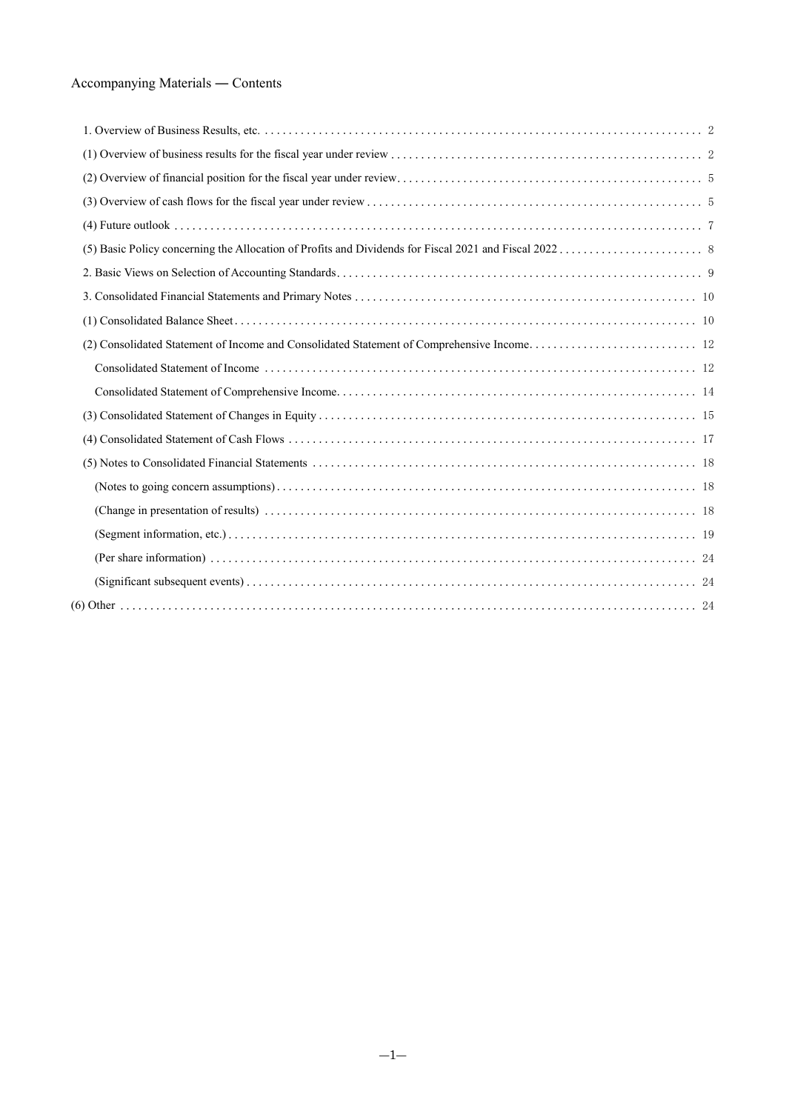# Accompanying Materials ― Contents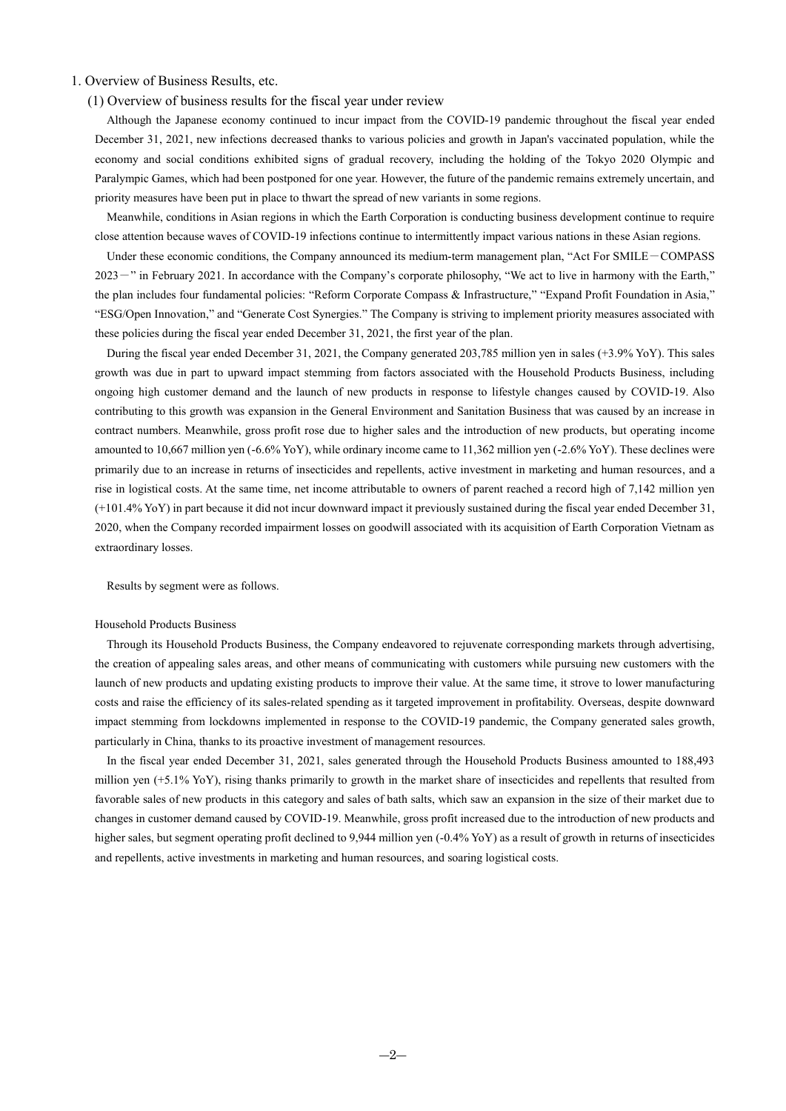### <span id="page-4-1"></span><span id="page-4-0"></span>1. Overview of Business Results, etc.

### (1) Overview of business results for the fiscal year under review

Although the Japanese economy continued to incur impact from the COVID-19 pandemic throughout the fiscal year ended December 31, 2021, new infections decreased thanks to various policies and growth in Japan's vaccinated population, while the economy and social conditions exhibited signs of gradual recovery, including the holding of the Tokyo 2020 Olympic and Paralympic Games, which had been postponed for one year. However, the future of the pandemic remains extremely uncertain, and priority measures have been put in place to thwart the spread of new variants in some regions.

Meanwhile, conditions in Asian regions in which the Earth Corporation is conducting business development continue to require close attention because waves of COVID-19 infections continue to intermittently impact various nations in these Asian regions.

Under these economic conditions, the Company announced its medium-term management plan, "Act For SMILE-COMPASS 2023 - " in February 2021. In accordance with the Company's corporate philosophy, "We act to live in harmony with the Earth," the plan includes four fundamental policies: "Reform Corporate Compass & Infrastructure," "Expand Profit Foundation in Asia," "ESG/Open Innovation," and "Generate Cost Synergies." The Company is striving to implement priority measures associated with these policies during the fiscal year ended December 31, 2021, the first year of the plan.

During the fiscal year ended December 31, 2021, the Company generated 203,785 million yen in sales (+3.9% YoY). This sales growth was due in part to upward impact stemming from factors associated with the Household Products Business, including ongoing high customer demand and the launch of new products in response to lifestyle changes caused by COVID-19. Also contributing to this growth was expansion in the General Environment and Sanitation Business that was caused by an increase in contract numbers. Meanwhile, gross profit rose due to higher sales and the introduction of new products, but operating income amounted to 10,667 million yen (-6.6% YoY), while ordinary income came to 11,362 million yen (-2.6% YoY). These declines were primarily due to an increase in returns of insecticides and repellents, active investment in marketing and human resources, and a rise in logistical costs. At the same time, net income attributable to owners of parent reached a record high of 7,142 million yen (+101.4% YoY) in part because it did not incur downward impact it previously sustained during the fiscal year ended December 31, 2020, when the Company recorded impairment losses on goodwill associated with its acquisition of Earth Corporation Vietnam as extraordinary losses.

Results by segment were as follows.

#### Household Products Business

Through its Household Products Business, the Company endeavored to rejuvenate corresponding markets through advertising, the creation of appealing sales areas, and other means of communicating with customers while pursuing new customers with the launch of new products and updating existing products to improve their value. At the same time, it strove to lower manufacturing costs and raise the efficiency of its sales-related spending as it targeted improvement in profitability. Overseas, despite downward impact stemming from lockdowns implemented in response to the COVID-19 pandemic, the Company generated sales growth, particularly in China, thanks to its proactive investment of management resources.

In the fiscal year ended December 31, 2021, sales generated through the Household Products Business amounted to 188,493 million yen (+5.1% YoY), rising thanks primarily to growth in the market share of insecticides and repellents that resulted from favorable sales of new products in this category and sales of bath salts, which saw an expansion in the size of their market due to changes in customer demand caused by COVID-19. Meanwhile, gross profit increased due to the introduction of new products and higher sales, but segment operating profit declined to 9,944 million yen (-0.4% YoY) as a result of growth in returns of insecticides and repellents, active investments in marketing and human resources, and soaring logistical costs.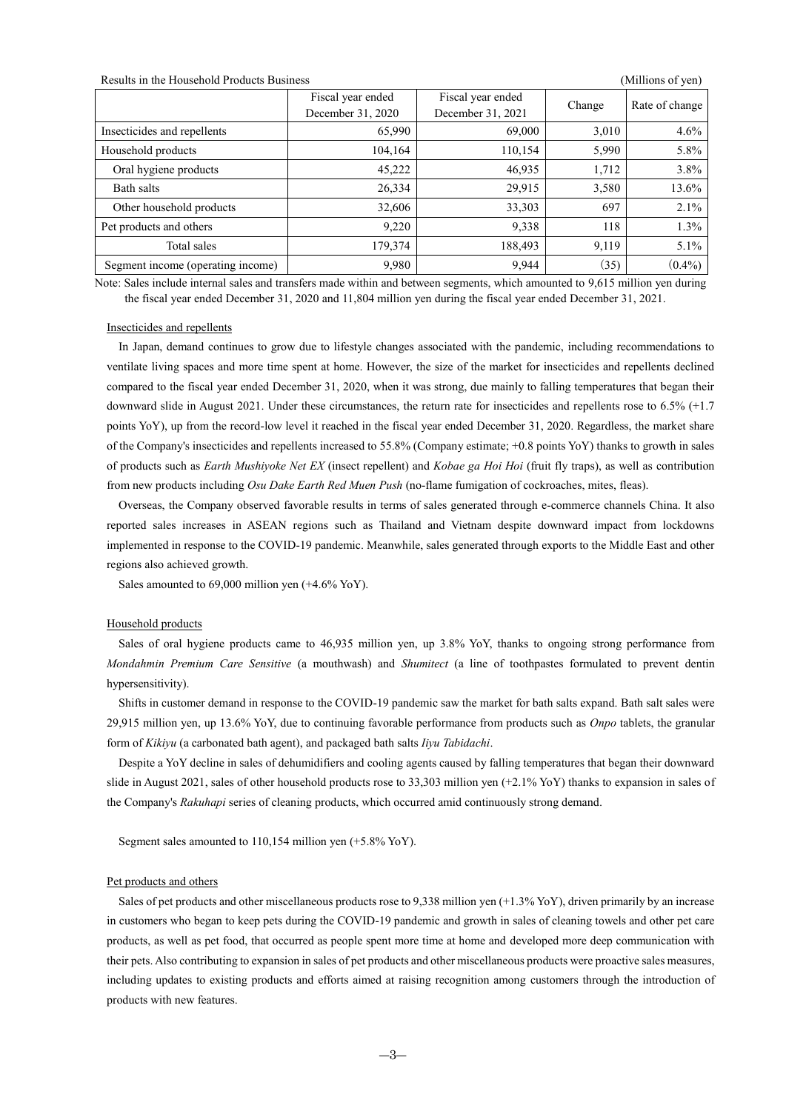### Results in the Household Products Business (Millions of yen)

|                                   | Fiscal year ended<br>December 31, 2020 | Fiscal year ended<br>December 31, 2021 | Change | Rate of change |
|-----------------------------------|----------------------------------------|----------------------------------------|--------|----------------|
| Insecticides and repellents       | 65,990                                 | 69,000                                 | 3,010  | 4.6%           |
| Household products                | 104,164                                | 110,154                                | 5,990  | 5.8%           |
| Oral hygiene products             | 45,222                                 | 46,935                                 | 1,712  | 3.8%           |
| Bath salts                        | 26,334                                 | 29,915                                 | 3,580  | 13.6%          |
| Other household products          | 32,606                                 | 33,303                                 | 697    | 2.1%           |
| Pet products and others           | 9,220                                  | 9,338                                  | 118    | $1.3\%$        |
| Total sales                       | 179,374                                | 188,493                                | 9,119  | $5.1\%$        |
| Segment income (operating income) | 9,980                                  | 9,944                                  | (35)   | $(0.4\%)$      |

Note: Sales include internal sales and transfers made within and between segments, which amounted to 9,615 million yen during the fiscal year ended December 31, 2020 and 11,804 million yen during the fiscal year ended December 31, 2021.

#### Insecticides and repellents

In Japan, demand continues to grow due to lifestyle changes associated with the pandemic, including recommendations to ventilate living spaces and more time spent at home. However, the size of the market for insecticides and repellents declined compared to the fiscal year ended December 31, 2020, when it was strong, due mainly to falling temperatures that began their downward slide in August 2021. Under these circumstances, the return rate for insecticides and repellents rose to 6.5% (+1.7 points YoY), up from the record-low level it reached in the fiscal year ended December 31, 2020. Regardless, the market share of the Company's insecticides and repellents increased to 55.8% (Company estimate; +0.8 points YoY) thanks to growth in sales of products such as *Earth Mushiyoke Net EX* (insect repellent) and *Kobae ga Hoi Hoi* (fruit fly traps), as well as contribution from new products including *Osu Dake Earth Red Muen Push* (no-flame fumigation of cockroaches, mites, fleas).

Overseas, the Company observed favorable results in terms of sales generated through e-commerce channels China. It also reported sales increases in ASEAN regions such as Thailand and Vietnam despite downward impact from lockdowns implemented in response to the COVID-19 pandemic. Meanwhile, sales generated through exports to the Middle East and other regions also achieved growth.

Sales amounted to 69,000 million yen (+4.6% YoY).

#### Household products

Sales of oral hygiene products came to 46,935 million yen, up 3.8% YoY, thanks to ongoing strong performance from *Mondahmin Premium Care Sensitive* (a mouthwash) and *Shumitect* (a line of toothpastes formulated to prevent dentin hypersensitivity).

Shifts in customer demand in response to the COVID-19 pandemic saw the market for bath salts expand. Bath salt sales were 29,915 million yen, up 13.6% YoY, due to continuing favorable performance from products such as *Onpo* tablets, the granular form of *Kikiyu* (a carbonated bath agent), and packaged bath salts *Iiyu Tabidachi*.

Despite a YoY decline in sales of dehumidifiers and cooling agents caused by falling temperatures that began their downward slide in August 2021, sales of other household products rose to 33,303 million yen (+2.1% YoY) thanks to expansion in sales of the Company's *Rakuhapi* series of cleaning products, which occurred amid continuously strong demand.

Segment sales amounted to 110,154 million yen (+5.8% YoY).

### Pet products and others

Sales of pet products and other miscellaneous products rose to 9,338 million yen (+1.3% YoY), driven primarily by an increase in customers who began to keep pets during the COVID-19 pandemic and growth in sales of cleaning towels and other pet care products, as well as pet food, that occurred as people spent more time at home and developed more deep communication with their pets. Also contributing to expansion in sales of pet products and other miscellaneous products were proactive sales measures, including updates to existing products and efforts aimed at raising recognition among customers through the introduction of products with new features.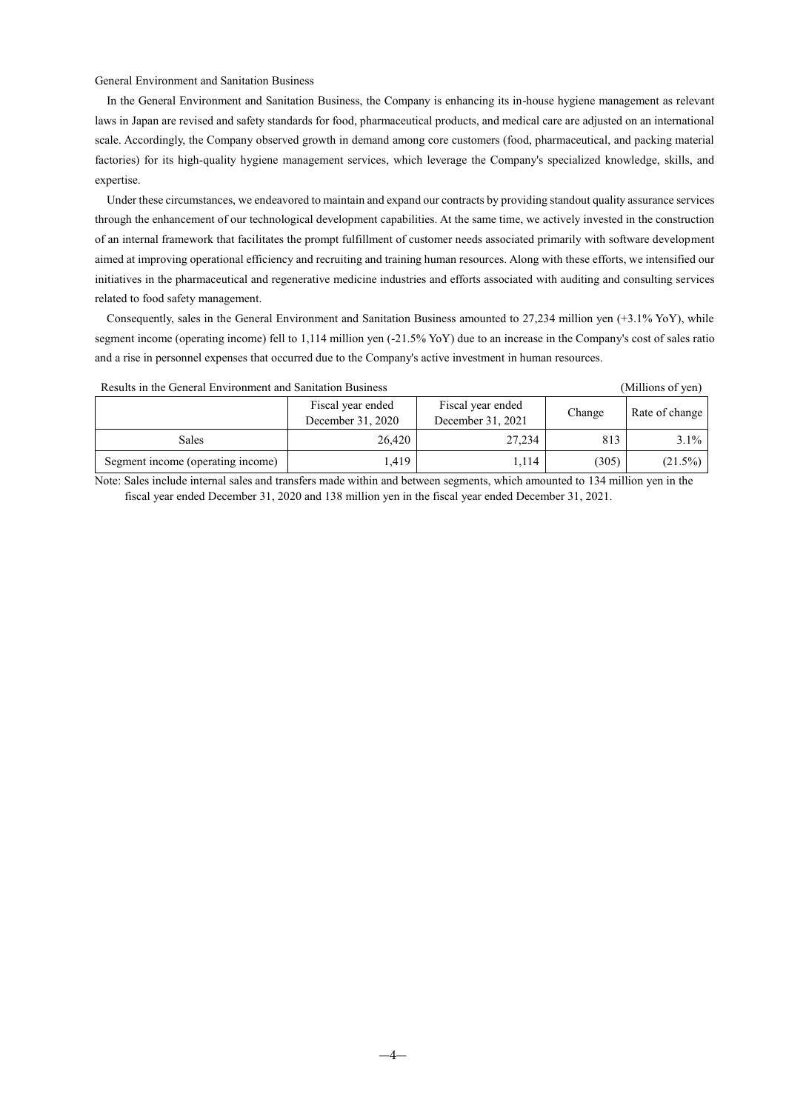General Environment and Sanitation Business

In the General Environment and Sanitation Business, the Company is enhancing its in-house hygiene management as relevant laws in Japan are revised and safety standards for food, pharmaceutical products, and medical care are adjusted on an international scale. Accordingly, the Company observed growth in demand among core customers (food, pharmaceutical, and packing material factories) for its high-quality hygiene management services, which leverage the Company's specialized knowledge, skills, and expertise.

Under these circumstances, we endeavored to maintain and expand our contracts by providing standout quality assurance services through the enhancement of our technological development capabilities. At the same time, we actively invested in the construction of an internal framework that facilitates the prompt fulfillment of customer needs associated primarily with software development aimed at improving operational efficiency and recruiting and training human resources. Along with these efforts, we intensified our initiatives in the pharmaceutical and regenerative medicine industries and efforts associated with auditing and consulting services related to food safety management.

Consequently, sales in the General Environment and Sanitation Business amounted to 27,234 million yen (+3.1% YoY), while segment income (operating income) fell to 1,114 million yen (-21.5% YoY) due to an increase in the Company's cost of sales ratio and a rise in personnel expenses that occurred due to the Company's active investment in human resources.

Results in the General Environment and Sanitation Business (Millions of yen)

|                                   | Fiscal year ended<br>December 31, 2020 | Fiscal year ended<br>December 31, 2021 | Change | Rate of change |
|-----------------------------------|----------------------------------------|----------------------------------------|--------|----------------|
| Sales                             | 26.420                                 | 27,234                                 | 813    | $3.1\%$        |
| Segment income (operating income) | .419                                   | 1,114                                  | (305)  | $(21.5\%)$     |

Note: Sales include internal sales and transfers made within and between segments, which amounted to 134 million yen in the fiscal year ended December 31, 2020 and 138 million yen in the fiscal year ended December 31, 2021.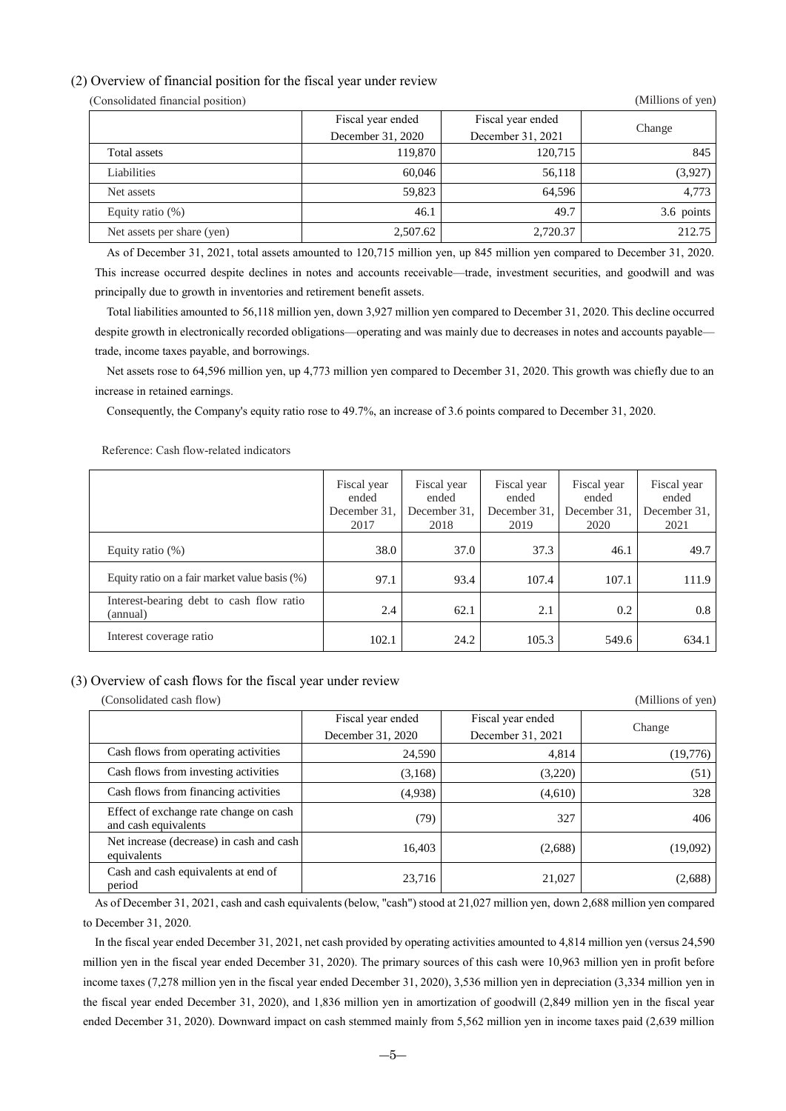## <span id="page-7-0"></span>(2) Overview of financial position for the fiscal year under review

(Consolidated financial position) (Millions of yen)

|                            | Fiscal year ended | Fiscal year ended |            |
|----------------------------|-------------------|-------------------|------------|
|                            | December 31, 2020 | December 31, 2021 | Change     |
| Total assets               | 119,870           | 120,715           | 845        |
| Liabilities                | 60,046            | 56,118            | (3,927)    |
| Net assets                 | 59.823            | 64.596            | 4.773      |
| Equity ratio $(\%)$        | 46.1              | 49.7              | 3.6 points |
| Net assets per share (yen) | 2,507.62          | 2,720.37          | 212.75     |
|                            |                   |                   |            |

As of December 31, 2021, total assets amounted to 120,715 million yen, up 845 million yen compared to December 31, 2020. This increase occurred despite declines in notes and accounts receivable—trade, investment securities, and goodwill and was principally due to growth in inventories and retirement benefit assets.

Total liabilities amounted to 56,118 million yen, down 3,927 million yen compared to December 31, 2020. This decline occurred despite growth in electronically recorded obligations—operating and was mainly due to decreases in notes and accounts payable trade, income taxes payable, and borrowings.

Net assets rose to 64,596 million yen, up 4,773 million yen compared to December 31, 2020. This growth was chiefly due to an increase in retained earnings.

Consequently, the Company's equity ratio rose to 49.7%, an increase of 3.6 points compared to December 31, 2020.

|                                                      | Fiscal year<br>ended<br>December 31.<br>2017 | Fiscal year<br>ended<br>December 31.<br>2018 | Fiscal year<br>ended<br>December 31,<br>2019 | Fiscal year<br>ended<br>December 31,<br>2020 | Fiscal year<br>ended<br>December 31,<br>2021 |
|------------------------------------------------------|----------------------------------------------|----------------------------------------------|----------------------------------------------|----------------------------------------------|----------------------------------------------|
| Equity ratio $(\%)$                                  | 38.0                                         | 37.0                                         | 37.3                                         | 46.1                                         | 49.7                                         |
| Equity ratio on a fair market value basis (%)        | 97.1                                         | 93.4                                         | 107.4                                        | 107.1                                        | 111.9                                        |
| Interest-bearing debt to cash flow ratio<br>(annual) | 2.4                                          | 62.1                                         | 2.1                                          | 0.2                                          | 0.8                                          |
| Interest coverage ratio                              | 102.1                                        | 24.2                                         | 105.3                                        | 549.6                                        | 634.1                                        |

Reference: Cash flow-related indicators

### <span id="page-7-1"></span>(3) Overview of cash flows for the fiscal year under review

(Consolidated cash flow) (Millions of yen)

|                                                                |                   |                   | (1.111110110011) |  |
|----------------------------------------------------------------|-------------------|-------------------|------------------|--|
|                                                                | Fiscal year ended | Fiscal year ended |                  |  |
|                                                                | December 31, 2020 | December 31, 2021 | Change           |  |
| Cash flows from operating activities                           | 24,590            | 4,814             | (19,776)         |  |
| Cash flows from investing activities                           | (3,168)           | (3,220)           | (51)             |  |
| Cash flows from financing activities                           | (4,938)           | (4,610)           | 328              |  |
| Effect of exchange rate change on cash<br>and cash equivalents | (79)              | 327               | 406              |  |
| Net increase (decrease) in cash and cash<br>equivalents        | 16,403            | (2,688)           | (19,092)         |  |
| Cash and cash equivalents at end of<br>period                  | 23,716            | 21,027            | (2,688)          |  |

As of December 31, 2021, cash and cash equivalents (below, "cash") stood at 21,027 million yen, down 2,688 million yen compared to December 31, 2020.

In the fiscal year ended December 31, 2021, net cash provided by operating activities amounted to 4,814 million yen (versus 24,590 million yen in the fiscal year ended December 31, 2020). The primary sources of this cash were 10,963 million yen in profit before income taxes (7,278 million yen in the fiscal year ended December 31, 2020), 3,536 million yen in depreciation (3,334 million yen in the fiscal year ended December 31, 2020), and 1,836 million yen in amortization of goodwill (2,849 million yen in the fiscal year ended December 31, 2020). Downward impact on cash stemmed mainly from 5,562 million yen in income taxes paid (2,639 million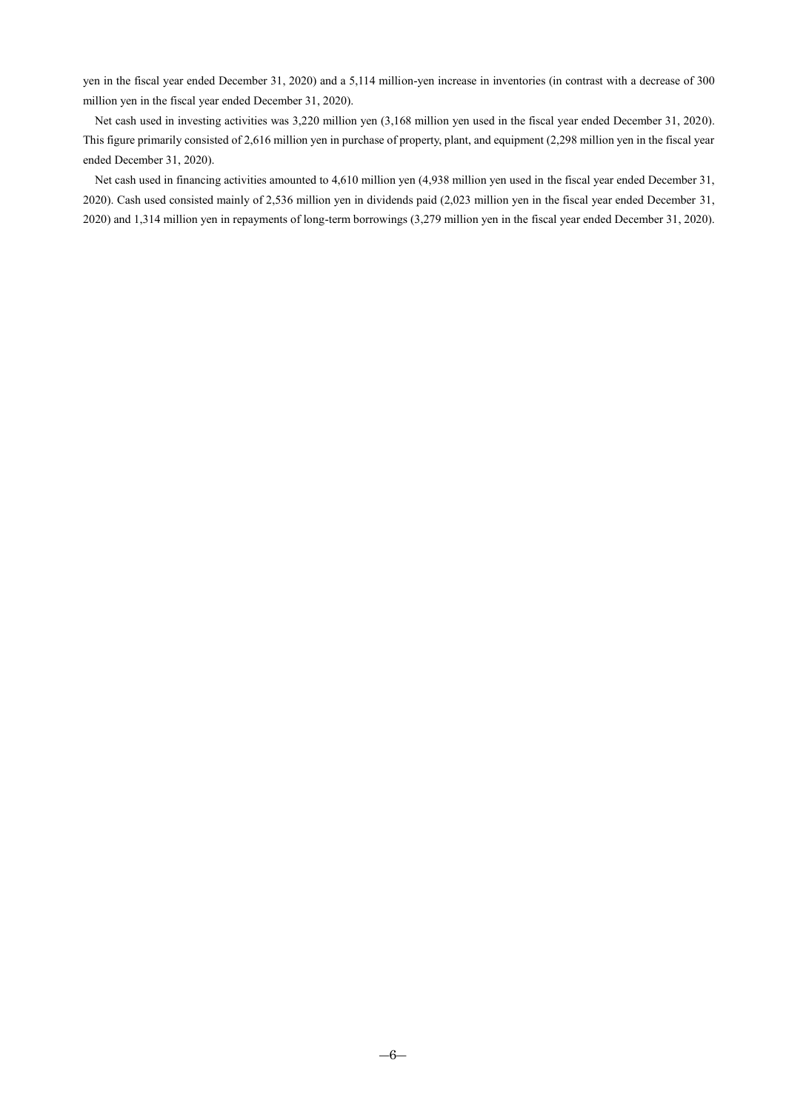yen in the fiscal year ended December 31, 2020) and a 5,114 million-yen increase in inventories (in contrast with a decrease of 300 million yen in the fiscal year ended December 31, 2020).

Net cash used in investing activities was 3,220 million yen (3,168 million yen used in the fiscal year ended December 31, 2020). This figure primarily consisted of 2,616 million yen in purchase of property, plant, and equipment (2,298 million yen in the fiscal year ended December 31, 2020).

Net cash used in financing activities amounted to 4,610 million yen (4,938 million yen used in the fiscal year ended December 31, 2020). Cash used consisted mainly of 2,536 million yen in dividends paid (2,023 million yen in the fiscal year ended December 31, 2020) and 1,314 million yen in repayments of long-term borrowings (3,279 million yen in the fiscal year ended December 31, 2020).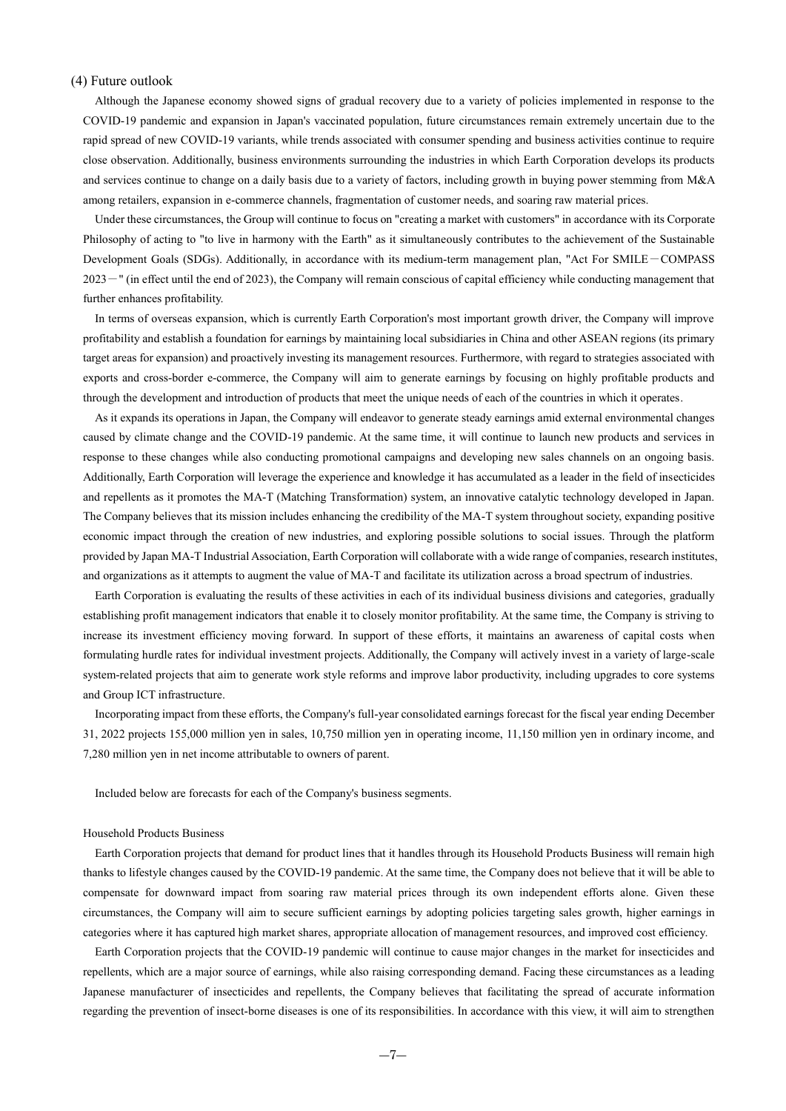### <span id="page-9-0"></span>(4) Future outlook

Although the Japanese economy showed signs of gradual recovery due to a variety of policies implemented in response to the COVID-19 pandemic and expansion in Japan's vaccinated population, future circumstances remain extremely uncertain due to the rapid spread of new COVID-19 variants, while trends associated with consumer spending and business activities continue to require close observation. Additionally, business environments surrounding the industries in which Earth Corporation develops its products and services continue to change on a daily basis due to a variety of factors, including growth in buying power stemming from M&A among retailers, expansion in e-commerce channels, fragmentation of customer needs, and soaring raw material prices.

Under these circumstances, the Group will continue to focus on "creating a market with customers" in accordance with its Corporate Philosophy of acting to "to live in harmony with the Earth" as it simultaneously contributes to the achievement of the Sustainable Development Goals (SDGs). Additionally, in accordance with its medium-term management plan, "Act For SMILE-COMPASS 2023-" (in effect until the end of 2023), the Company will remain conscious of capital efficiency while conducting management that further enhances profitability.

In terms of overseas expansion, which is currently Earth Corporation's most important growth driver, the Company will improve profitability and establish a foundation for earnings by maintaining local subsidiaries in China and other ASEAN regions (its primary target areas for expansion) and proactively investing its management resources. Furthermore, with regard to strategies associated with exports and cross-border e-commerce, the Company will aim to generate earnings by focusing on highly profitable products and through the development and introduction of products that meet the unique needs of each of the countries in which it operates.

As it expands its operations in Japan, the Company will endeavor to generate steady earnings amid external environmental changes caused by climate change and the COVID-19 pandemic. At the same time, it will continue to launch new products and services in response to these changes while also conducting promotional campaigns and developing new sales channels on an ongoing basis. Additionally, Earth Corporation will leverage the experience and knowledge it has accumulated as a leader in the field of insecticides and repellents as it promotes the MA-T (Matching Transformation) system, an innovative catalytic technology developed in Japan. The Company believes that its mission includes enhancing the credibility of the MA-T system throughout society, expanding positive economic impact through the creation of new industries, and exploring possible solutions to social issues. Through the platform provided by Japan MA-T Industrial Association, Earth Corporation will collaborate with a wide range of companies, research institutes, and organizations as it attempts to augment the value of MA-T and facilitate its utilization across a broad spectrum of industries.

Earth Corporation is evaluating the results of these activities in each of its individual business divisions and categories, gradually establishing profit management indicators that enable it to closely monitor profitability. At the same time, the Company is striving to increase its investment efficiency moving forward. In support of these efforts, it maintains an awareness of capital costs when formulating hurdle rates for individual investment projects. Additionally, the Company will actively invest in a variety of large-scale system-related projects that aim to generate work style reforms and improve labor productivity, including upgrades to core systems and Group ICT infrastructure.

Incorporating impact from these efforts, the Company's full-year consolidated earnings forecast for the fiscal year ending December 31, 2022 projects 155,000 million yen in sales, 10,750 million yen in operating income, 11,150 million yen in ordinary income, and 7,280 million yen in net income attributable to owners of parent.

Included below are forecasts for each of the Company's business segments.

### Household Products Business

Earth Corporation projects that demand for product lines that it handles through its Household Products Business will remain high thanks to lifestyle changes caused by the COVID-19 pandemic. At the same time, the Company does not believe that it will be able to compensate for downward impact from soaring raw material prices through its own independent efforts alone. Given these circumstances, the Company will aim to secure sufficient earnings by adopting policies targeting sales growth, higher earnings in categories where it has captured high market shares, appropriate allocation of management resources, and improved cost efficiency.

Earth Corporation projects that the COVID-19 pandemic will continue to cause major changes in the market for insecticides and repellents, which are a major source of earnings, while also raising corresponding demand. Facing these circumstances as a leading Japanese manufacturer of insecticides and repellents, the Company believes that facilitating the spread of accurate information regarding the prevention of insect-borne diseases is one of its responsibilities. In accordance with this view, it will aim to strengthen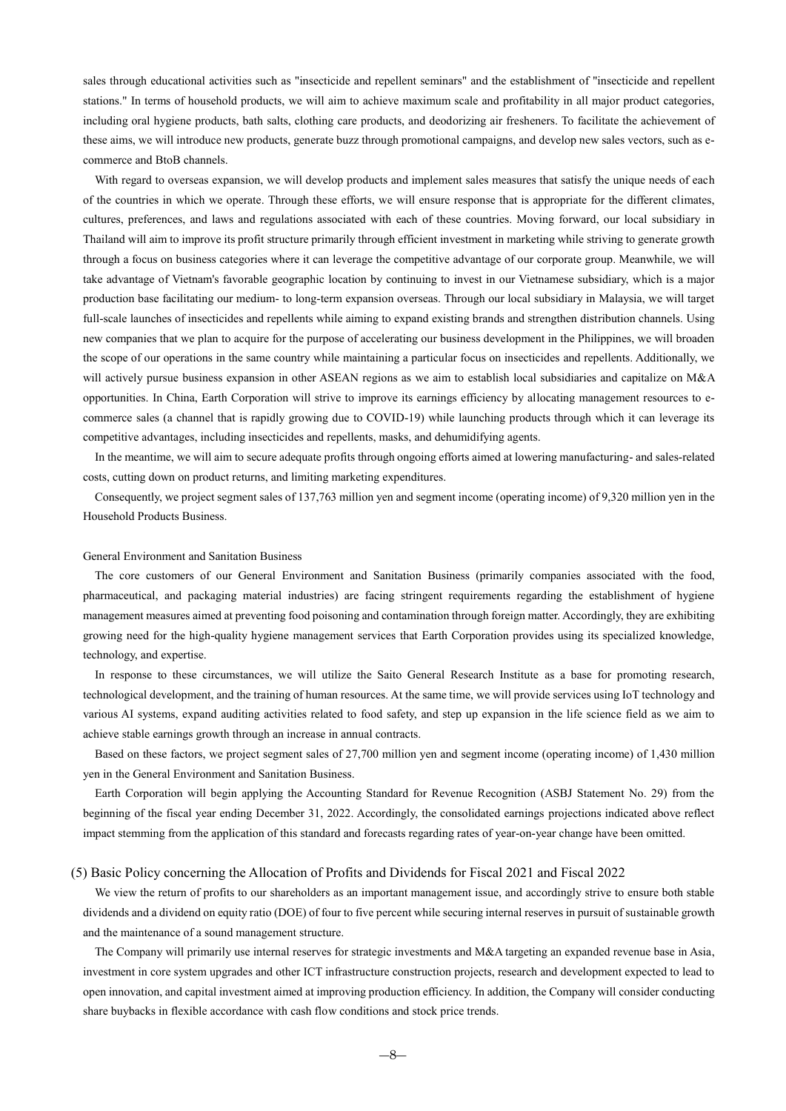sales through educational activities such as "insecticide and repellent seminars" and the establishment of "insecticide and repellent stations." In terms of household products, we will aim to achieve maximum scale and profitability in all major product categories, including oral hygiene products, bath salts, clothing care products, and deodorizing air fresheners. To facilitate the achievement of these aims, we will introduce new products, generate buzz through promotional campaigns, and develop new sales vectors, such as ecommerce and BtoB channels.

With regard to overseas expansion, we will develop products and implement sales measures that satisfy the unique needs of each of the countries in which we operate. Through these efforts, we will ensure response that is appropriate for the different climates, cultures, preferences, and laws and regulations associated with each of these countries. Moving forward, our local subsidiary in Thailand will aim to improve its profit structure primarily through efficient investment in marketing while striving to generate growth through a focus on business categories where it can leverage the competitive advantage of our corporate group. Meanwhile, we will take advantage of Vietnam's favorable geographic location by continuing to invest in our Vietnamese subsidiary, which is a major production base facilitating our medium- to long-term expansion overseas. Through our local subsidiary in Malaysia, we will target full-scale launches of insecticides and repellents while aiming to expand existing brands and strengthen distribution channels. Using new companies that we plan to acquire for the purpose of accelerating our business development in the Philippines, we will broaden the scope of our operations in the same country while maintaining a particular focus on insecticides and repellents. Additionally, we will actively pursue business expansion in other ASEAN regions as we aim to establish local subsidiaries and capitalize on M&A opportunities. In China, Earth Corporation will strive to improve its earnings efficiency by allocating management resources to ecommerce sales (a channel that is rapidly growing due to COVID-19) while launching products through which it can leverage its competitive advantages, including insecticides and repellents, masks, and dehumidifying agents.

In the meantime, we will aim to secure adequate profits through ongoing efforts aimed at lowering manufacturing- and sales-related costs, cutting down on product returns, and limiting marketing expenditures.

Consequently, we project segment sales of 137,763 million yen and segment income (operating income) of 9,320 million yen in the Household Products Business.

### General Environment and Sanitation Business

The core customers of our General Environment and Sanitation Business (primarily companies associated with the food, pharmaceutical, and packaging material industries) are facing stringent requirements regarding the establishment of hygiene management measures aimed at preventing food poisoning and contamination through foreign matter. Accordingly, they are exhibiting growing need for the high-quality hygiene management services that Earth Corporation provides using its specialized knowledge, technology, and expertise.

In response to these circumstances, we will utilize the Saito General Research Institute as a base for promoting research, technological development, and the training of human resources. At the same time, we will provide services using IoT technology and various AI systems, expand auditing activities related to food safety, and step up expansion in the life science field as we aim to achieve stable earnings growth through an increase in annual contracts.

Based on these factors, we project segment sales of 27,700 million yen and segment income (operating income) of 1,430 million yen in the General Environment and Sanitation Business.

Earth Corporation will begin applying the Accounting Standard for Revenue Recognition (ASBJ Statement No. 29) from the beginning of the fiscal year ending December 31, 2022. Accordingly, the consolidated earnings projections indicated above reflect impact stemming from the application of this standard and forecasts regarding rates of year-on-year change have been omitted.

#### <span id="page-10-0"></span>(5) Basic Policy concerning the Allocation of Profits and Dividends for Fiscal 2021 and Fiscal 2022

We view the return of profits to our shareholders as an important management issue, and accordingly strive to ensure both stable dividends and a dividend on equity ratio (DOE) of four to five percent while securing internal reserves in pursuit of sustainable growth and the maintenance of a sound management structure.

The Company will primarily use internal reserves for strategic investments and M&A targeting an expanded revenue base in Asia, investment in core system upgrades and other ICT infrastructure construction projects, research and development expected to lead to open innovation, and capital investment aimed at improving production efficiency. In addition, the Company will consider conducting share buybacks in flexible accordance with cash flow conditions and stock price trends.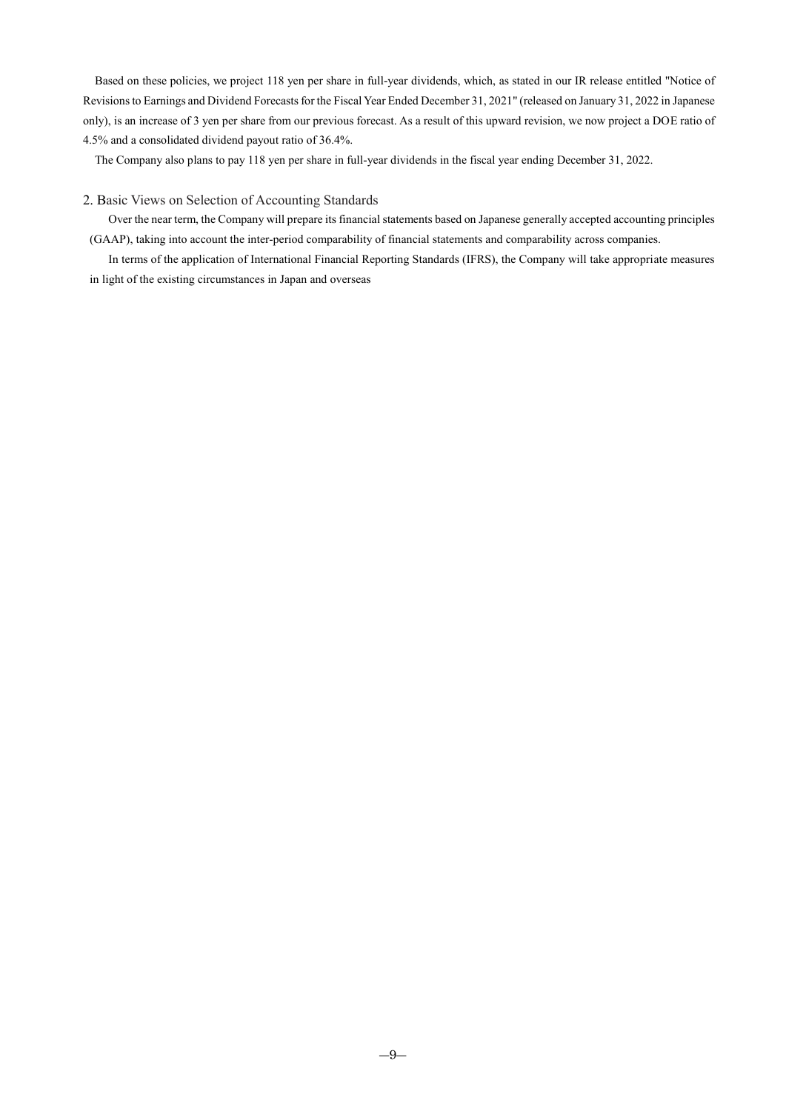Based on these policies, we project 118 yen per share in full-year dividends, which, as stated in our IR release entitled "Notice of Revisions to Earnings and Dividend Forecasts for the Fiscal Year Ended December 31, 2021" (released on January 31, 2022 in Japanese only), is an increase of 3 yen per share from our previous forecast. As a result of this upward revision, we now project a DOE ratio of 4.5% and a consolidated dividend payout ratio of 36.4%.

The Company also plans to pay 118 yen per share in full-year dividends in the fiscal year ending December 31, 2022.

### <span id="page-11-0"></span>2. Basic Views on Selection of Accounting Standards

Over the near term, the Company will prepare its financial statements based on Japanese generally accepted accounting principles (GAAP), taking into account the inter-period comparability of financial statements and comparability across companies.

In terms of the application of International Financial Reporting Standards (IFRS), the Company will take appropriate measures in light of the existing circumstances in Japan and overseas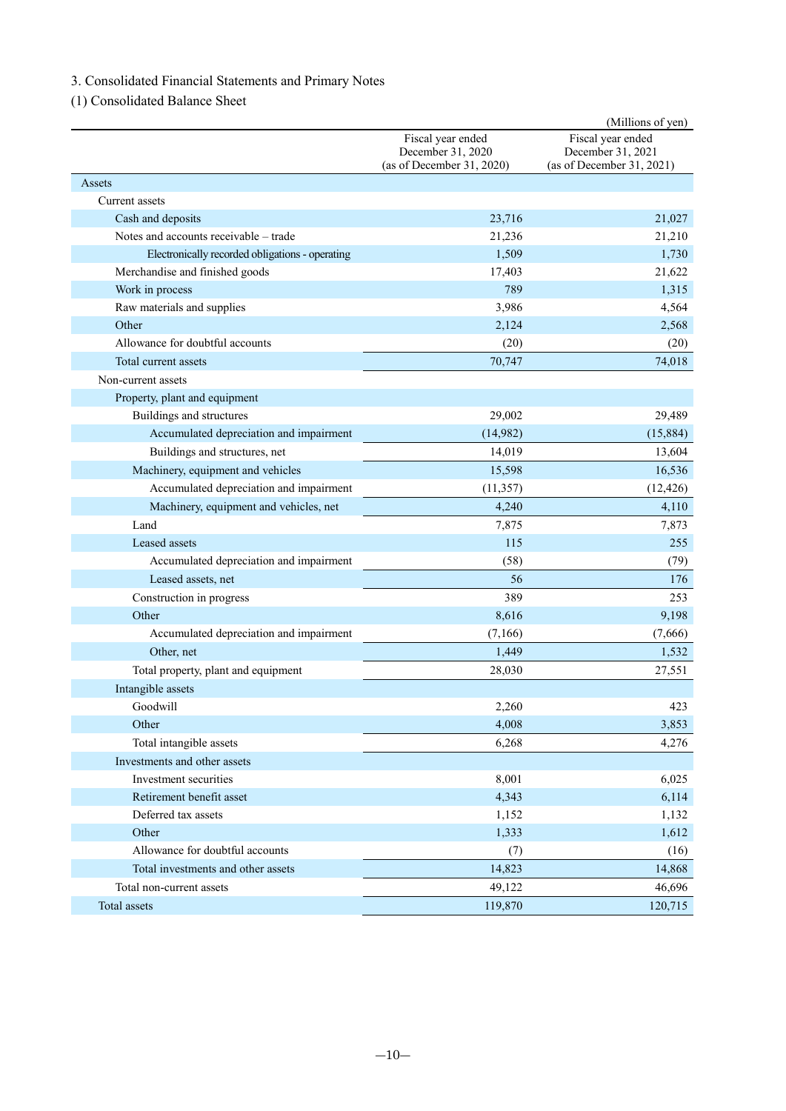# <span id="page-12-0"></span>3. Consolidated Financial Statements and Primary Notes

<span id="page-12-1"></span>(1) Consolidated Balance Sheet

|                                                 |                                                | (Millions of yen)                              |
|-------------------------------------------------|------------------------------------------------|------------------------------------------------|
|                                                 | Fiscal year ended                              | Fiscal year ended                              |
|                                                 | December 31, 2020<br>(as of December 31, 2020) | December 31, 2021<br>(as of December 31, 2021) |
| Assets                                          |                                                |                                                |
| Current assets                                  |                                                |                                                |
| Cash and deposits                               | 23,716                                         | 21,027                                         |
| Notes and accounts receivable - trade           | 21,236                                         | 21,210                                         |
| Electronically recorded obligations - operating | 1,509                                          | 1,730                                          |
|                                                 |                                                |                                                |
| Merchandise and finished goods                  | 17,403<br>789                                  | 21,622<br>1,315                                |
| Work in process<br>Raw materials and supplies   | 3,986                                          | 4,564                                          |
| Other                                           |                                                |                                                |
| Allowance for doubtful accounts                 | 2,124                                          | 2,568                                          |
|                                                 | (20)                                           | (20)                                           |
| Total current assets                            | 70,747                                         | 74,018                                         |
| Non-current assets                              |                                                |                                                |
| Property, plant and equipment                   |                                                |                                                |
| Buildings and structures                        | 29,002                                         | 29,489                                         |
| Accumulated depreciation and impairment         | (14,982)                                       | (15,884)                                       |
| Buildings and structures, net                   | 14,019                                         | 13,604                                         |
| Machinery, equipment and vehicles               | 15,598                                         | 16,536                                         |
| Accumulated depreciation and impairment         | (11, 357)                                      | (12, 426)                                      |
| Machinery, equipment and vehicles, net          | 4,240                                          | 4,110                                          |
| Land                                            | 7,875                                          | 7,873                                          |
| Leased assets                                   | 115                                            | 255                                            |
| Accumulated depreciation and impairment         | (58)                                           | (79)                                           |
| Leased assets, net                              | 56                                             | 176                                            |
| Construction in progress                        | 389                                            | 253                                            |
| Other                                           | 8,616                                          | 9,198                                          |
| Accumulated depreciation and impairment         | (7,166)                                        | (7,666)                                        |
| Other, net                                      | 1,449                                          | 1,532                                          |
| Total property, plant and equipment             | 28,030                                         | 27,551                                         |
| Intangible assets                               |                                                |                                                |
| Goodwill                                        | 2,260                                          | 423                                            |
| Other                                           | 4,008                                          | 3,853                                          |
| Total intangible assets                         | 6,268                                          | 4,276                                          |
| Investments and other assets                    |                                                |                                                |
| Investment securities                           | 8,001                                          | 6,025                                          |
| Retirement benefit asset                        | 4,343                                          | 6,114                                          |
| Deferred tax assets                             | 1,152                                          | 1,132                                          |
| Other                                           | 1,333                                          | 1,612                                          |
| Allowance for doubtful accounts                 | (7)                                            | (16)                                           |
| Total investments and other assets              | 14,823                                         | 14,868                                         |
| Total non-current assets                        | 49,122                                         | 46,696                                         |
| Total assets                                    | 119,870                                        | 120,715                                        |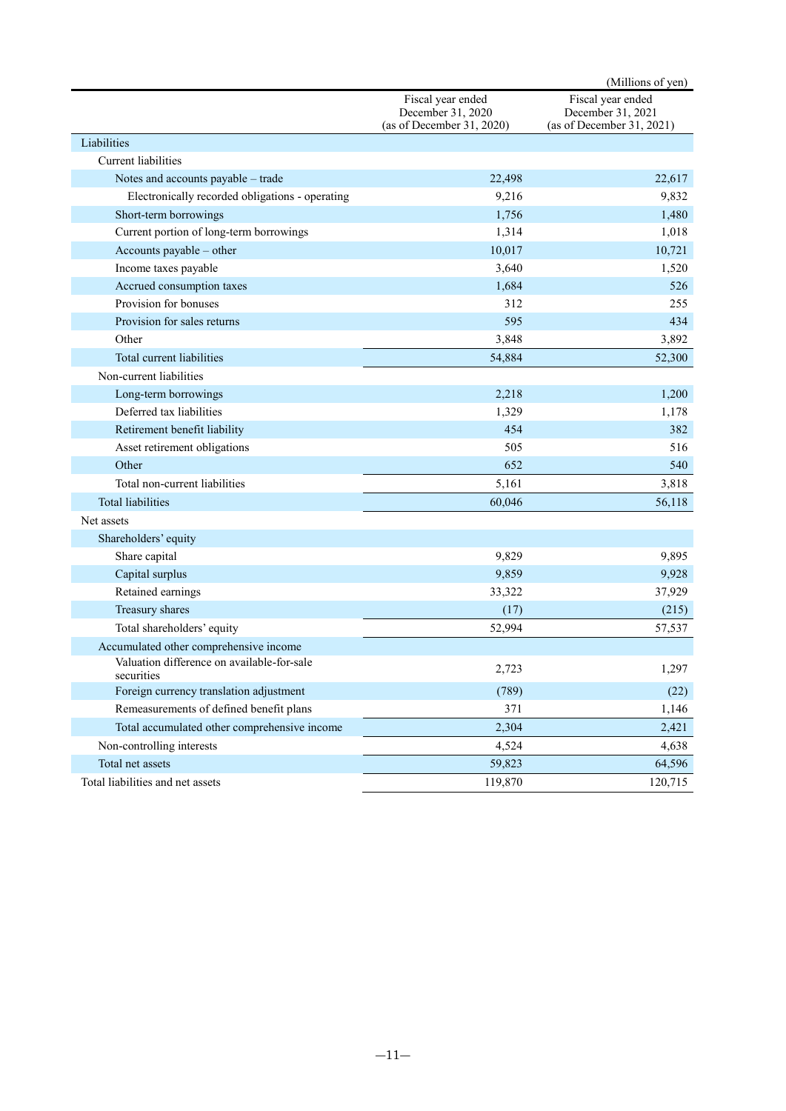|                                                          |                                                                     | (Millions of yen)                                                   |
|----------------------------------------------------------|---------------------------------------------------------------------|---------------------------------------------------------------------|
|                                                          | Fiscal year ended<br>December 31, 2020<br>(as of December 31, 2020) | Fiscal year ended<br>December 31, 2021<br>(as of December 31, 2021) |
| Liabilities                                              |                                                                     |                                                                     |
| <b>Current liabilities</b>                               |                                                                     |                                                                     |
| Notes and accounts payable - trade                       | 22,498                                                              | 22,617                                                              |
| Electronically recorded obligations - operating          | 9,216                                                               | 9,832                                                               |
| Short-term borrowings                                    | 1,756                                                               | 1,480                                                               |
| Current portion of long-term borrowings                  | 1,314                                                               | 1,018                                                               |
| Accounts payable - other                                 | 10,017                                                              | 10,721                                                              |
| Income taxes payable                                     | 3,640                                                               | 1,520                                                               |
| Accrued consumption taxes                                | 1,684                                                               | 526                                                                 |
| Provision for bonuses                                    | 312                                                                 | 255                                                                 |
| Provision for sales returns                              | 595                                                                 | 434                                                                 |
| Other                                                    | 3,848                                                               | 3,892                                                               |
| Total current liabilities                                | 54,884                                                              | 52,300                                                              |
| Non-current liabilities                                  |                                                                     |                                                                     |
| Long-term borrowings                                     | 2,218                                                               | 1,200                                                               |
| Deferred tax liabilities                                 | 1,329                                                               | 1,178                                                               |
| Retirement benefit liability                             | 454                                                                 | 382                                                                 |
| Asset retirement obligations                             | 505                                                                 | 516                                                                 |
| Other                                                    | 652                                                                 | 540                                                                 |
| Total non-current liabilities                            | 5,161                                                               | 3,818                                                               |
| <b>Total liabilities</b>                                 | 60,046                                                              | 56,118                                                              |
| Net assets                                               |                                                                     |                                                                     |
| Shareholders' equity                                     |                                                                     |                                                                     |
| Share capital                                            | 9,829                                                               | 9,895                                                               |
| Capital surplus                                          | 9,859                                                               | 9,928                                                               |
| Retained earnings                                        | 33,322                                                              | 37,929                                                              |
| Treasury shares                                          | (17)                                                                | (215)                                                               |
| Total shareholders' equity                               | 52,994                                                              | 57,537                                                              |
| Accumulated other comprehensive income                   |                                                                     |                                                                     |
| Valuation difference on available-for-sale<br>securities | 2,723                                                               | 1,297                                                               |
| Foreign currency translation adjustment                  | (789)                                                               | (22)                                                                |
| Remeasurements of defined benefit plans                  | 371                                                                 | 1,146                                                               |
| Total accumulated other comprehensive income             | 2,304                                                               | 2,421                                                               |
| Non-controlling interests                                | 4,524                                                               | 4,638                                                               |
| Total net assets                                         | 59,823                                                              | 64,596                                                              |
| Total liabilities and net assets                         | 119,870                                                             | 120,715                                                             |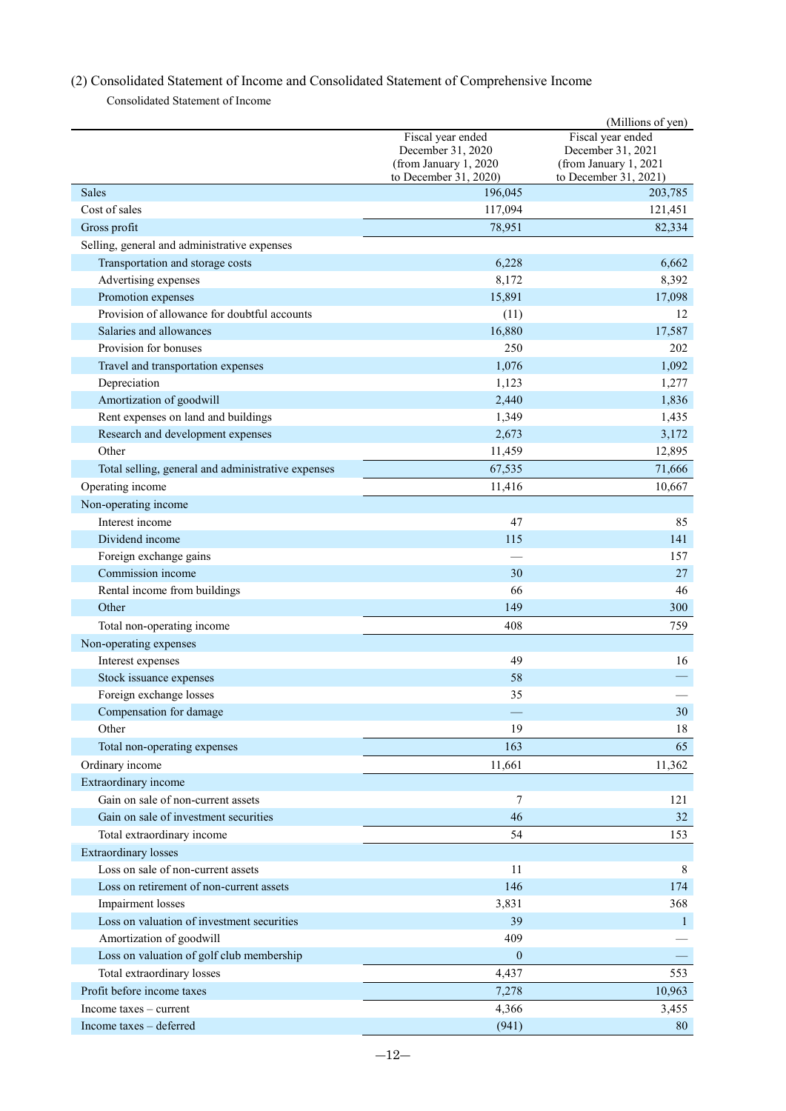# <span id="page-14-0"></span>(2) Consolidated Statement of Income and Consolidated Statement of Comprehensive Income

Consolidated Statement of Income

<span id="page-14-1"></span>

|                                                                   |                                                 | (Millions of yen)                              |
|-------------------------------------------------------------------|-------------------------------------------------|------------------------------------------------|
|                                                                   | Fiscal year ended                               | Fiscal year ended                              |
|                                                                   | December 31, 2020                               | December 31, 2021                              |
|                                                                   | (from January 1, 2020)<br>to December 31, 2020) | (from January 1, 2021<br>to December 31, 2021) |
| <b>Sales</b>                                                      | 196,045                                         | 203,785                                        |
| Cost of sales                                                     | 117,094                                         | 121,451                                        |
| Gross profit                                                      | 78,951                                          | 82,334                                         |
| Selling, general and administrative expenses                      |                                                 |                                                |
| Transportation and storage costs                                  | 6,228                                           | 6,662                                          |
| Advertising expenses                                              | 8,172                                           | 8,392                                          |
| Promotion expenses                                                | 15,891                                          | 17,098                                         |
| Provision of allowance for doubtful accounts                      | (11)                                            | 12                                             |
| Salaries and allowances                                           | 16,880                                          | 17,587                                         |
| Provision for bonuses                                             | 250                                             | 202                                            |
| Travel and transportation expenses                                | 1,076                                           | 1,092                                          |
| Depreciation                                                      | 1,123                                           | 1,277                                          |
| Amortization of goodwill                                          | 2,440                                           | 1,836                                          |
| Rent expenses on land and buildings                               | 1,349                                           | 1,435                                          |
| Research and development expenses                                 | 2,673                                           | 3,172                                          |
| Other                                                             | 11,459                                          | 12,895                                         |
| Total selling, general and administrative expenses                | 67,535                                          | 71,666                                         |
| Operating income                                                  | 11,416                                          | 10,667                                         |
| Non-operating income                                              |                                                 |                                                |
| Interest income                                                   | 47                                              | 85                                             |
| Dividend income                                                   | 115                                             | 141                                            |
| Foreign exchange gains                                            |                                                 | 157                                            |
| Commission income                                                 | 30                                              | 27                                             |
| Rental income from buildings                                      | 66                                              | 46                                             |
| Other                                                             | 149                                             | 300                                            |
| Total non-operating income                                        | 408                                             | 759                                            |
| Non-operating expenses                                            |                                                 |                                                |
| Interest expenses                                                 | 49                                              | 16                                             |
| Stock issuance expenses                                           | 58                                              |                                                |
| Foreign exchange losses                                           | 35                                              |                                                |
| Compensation for damage                                           |                                                 | 30                                             |
| Other                                                             | 19                                              | 18                                             |
| Total non-operating expenses                                      | 163                                             | 65                                             |
| Ordinary income                                                   | 11,661                                          | 11,362                                         |
| Extraordinary income                                              |                                                 |                                                |
| Gain on sale of non-current assets                                | 7                                               | 121                                            |
| Gain on sale of investment securities                             | 46                                              |                                                |
|                                                                   |                                                 | 32                                             |
| Total extraordinary income                                        | 54                                              | 153                                            |
| <b>Extraordinary</b> losses<br>Loss on sale of non-current assets |                                                 | 8                                              |
|                                                                   | 11                                              |                                                |
| Loss on retirement of non-current assets                          | 146                                             | 174                                            |
| Impairment losses                                                 | 3,831                                           | 368                                            |
| Loss on valuation of investment securities                        | 39                                              | $\mathbf{1}$                                   |
| Amortization of goodwill                                          | 409                                             |                                                |
| Loss on valuation of golf club membership                         | $\boldsymbol{0}$                                |                                                |
| Total extraordinary losses                                        | 4,437                                           | 553                                            |
| Profit before income taxes                                        | 7,278                                           | 10,963                                         |
| Income taxes - current                                            | 4,366                                           | 3,455                                          |
| Income taxes - deferred                                           | (941)                                           | 80                                             |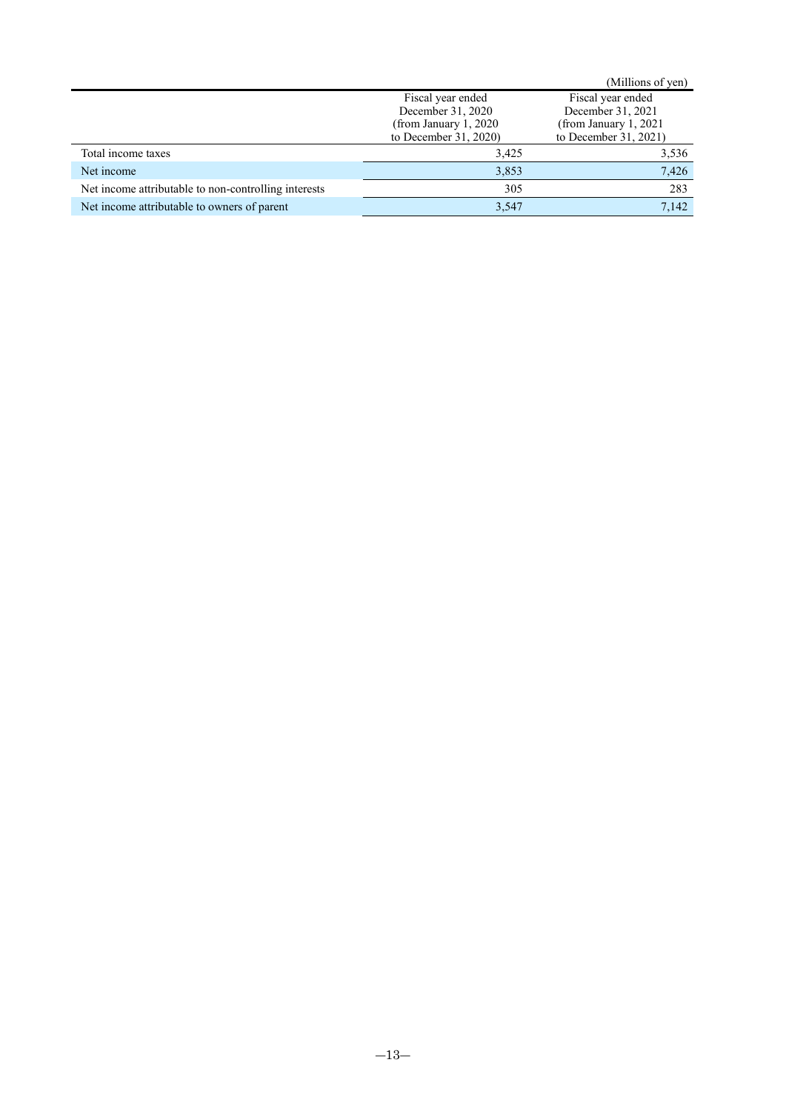|                                                      |                         | (Millions of yen)       |  |
|------------------------------------------------------|-------------------------|-------------------------|--|
|                                                      | Fiscal year ended       | Fiscal year ended       |  |
|                                                      | December 31, 2020       | December 31, 2021       |  |
|                                                      | (from January $1, 2020$ | (from January $1, 2021$ |  |
|                                                      | to December $31, 2020$  | to December 31, 2021)   |  |
| Total income taxes                                   | 3,425                   | 3,536                   |  |
| Net income                                           | 3,853                   | 7,426                   |  |
| Net income attributable to non-controlling interests | 305                     | 283                     |  |
| Net income attributable to owners of parent          | 3,547                   | 7,142                   |  |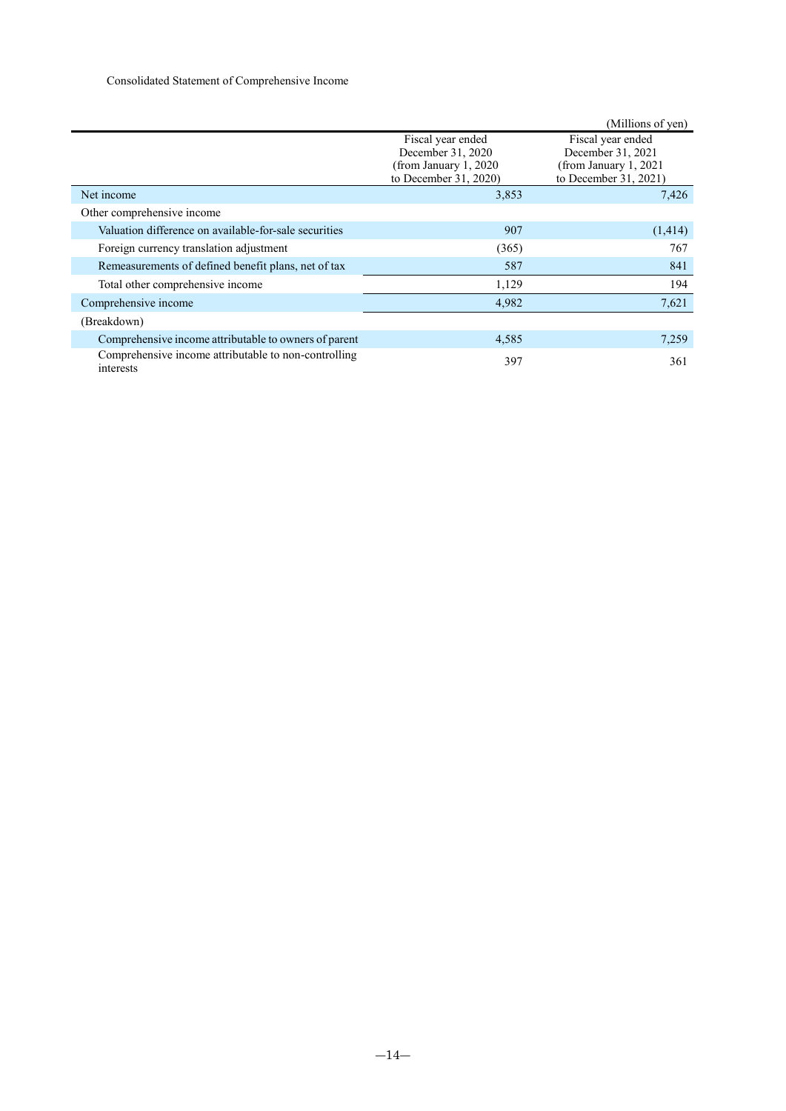<span id="page-16-0"></span>

|                                                                   |                                                                                           | (Millions of yen)                                                                        |
|-------------------------------------------------------------------|-------------------------------------------------------------------------------------------|------------------------------------------------------------------------------------------|
|                                                                   | Fiscal year ended<br>December 31, 2020<br>(from January 1, 2020)<br>to December 31, 2020) | Fiscal year ended<br>December 31, 2021<br>(from January 1, 2021<br>to December 31, 2021) |
| Net income                                                        | 3,853                                                                                     | 7,426                                                                                    |
| Other comprehensive income                                        |                                                                                           |                                                                                          |
| Valuation difference on available-for-sale securities             | 907                                                                                       | (1,414)                                                                                  |
| Foreign currency translation adjustment                           | (365)                                                                                     | 767                                                                                      |
| Remeasurements of defined benefit plans, net of tax               | 587                                                                                       | 841                                                                                      |
| Total other comprehensive income                                  | 1,129                                                                                     | 194                                                                                      |
| Comprehensive income                                              | 4,982                                                                                     | 7,621                                                                                    |
| (Breakdown)                                                       |                                                                                           |                                                                                          |
| Comprehensive income attributable to owners of parent             | 4,585                                                                                     | 7,259                                                                                    |
| Comprehensive income attributable to non-controlling<br>interests | 397                                                                                       | 361                                                                                      |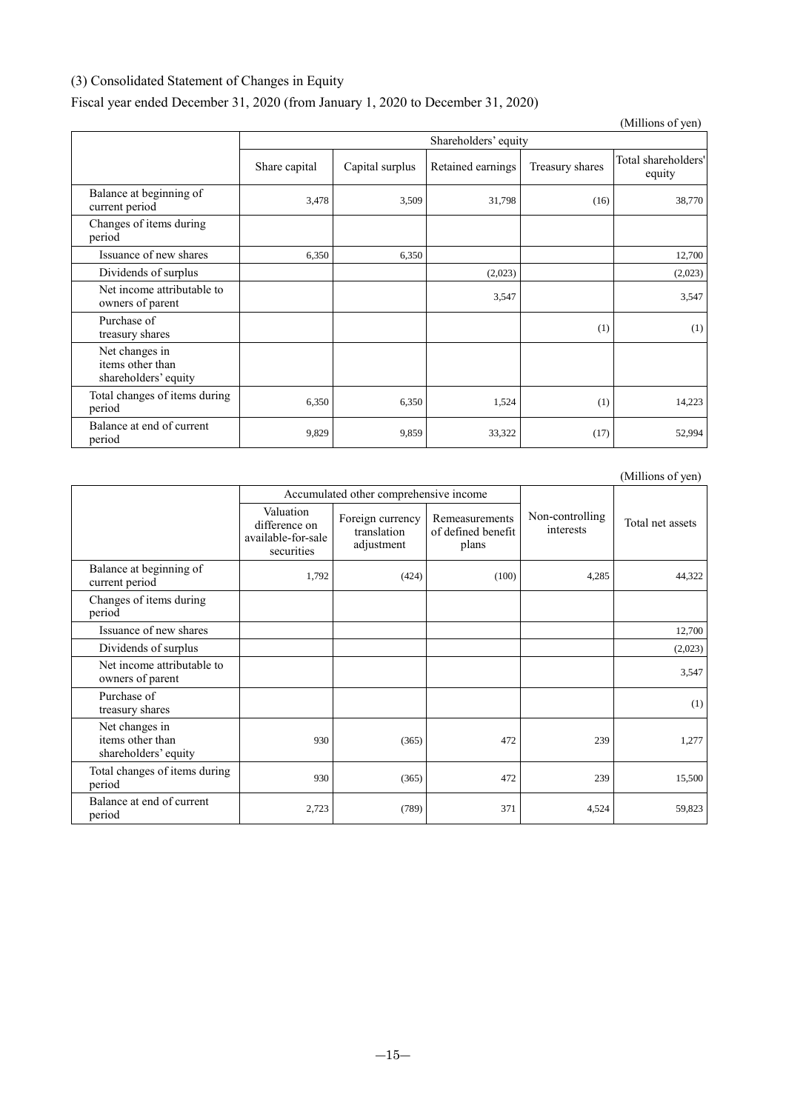# <span id="page-17-0"></span>(3) Consolidated Statement of Changes in Equity

# Fiscal year ended December 31, 2020 (from January 1, 2020 to December 31, 2020)

|                                                            |               |                      |                   |                 | (Millions of yen)             |  |
|------------------------------------------------------------|---------------|----------------------|-------------------|-----------------|-------------------------------|--|
|                                                            |               | Shareholders' equity |                   |                 |                               |  |
|                                                            | Share capital | Capital surplus      | Retained earnings | Treasury shares | Total shareholders'<br>equity |  |
| Balance at beginning of<br>current period                  | 3.478         | 3,509                | 31,798            | (16)            | 38,770                        |  |
| Changes of items during<br>period                          |               |                      |                   |                 |                               |  |
| Issuance of new shares                                     | 6,350         | 6,350                |                   |                 | 12,700                        |  |
| Dividends of surplus                                       |               |                      | (2,023)           |                 | (2,023)                       |  |
| Net income attributable to<br>owners of parent             |               |                      | 3,547             |                 | 3,547                         |  |
| Purchase of<br>treasury shares                             |               |                      |                   | (1)             | (1)                           |  |
| Net changes in<br>items other than<br>shareholders' equity |               |                      |                   |                 |                               |  |
| Total changes of items during<br>period                    | 6,350         | 6,350                | 1,524             | (1)             | 14,223                        |  |
| Balance at end of current<br>period                        | 9,829         | 9,859                | 33,322            | (17)            | 52,994                        |  |

|                                                            |                                                                |                                               |                                               |                              | (Millions of yen) |
|------------------------------------------------------------|----------------------------------------------------------------|-----------------------------------------------|-----------------------------------------------|------------------------------|-------------------|
|                                                            |                                                                | Accumulated other comprehensive income        |                                               |                              |                   |
|                                                            | Valuation<br>difference on<br>available-for-sale<br>securities | Foreign currency<br>translation<br>adjustment | Remeasurements<br>of defined benefit<br>plans | Non-controlling<br>interests | Total net assets  |
| Balance at beginning of<br>current period                  | 1,792                                                          | (424)                                         | (100)                                         | 4,285                        | 44,322            |
| Changes of items during<br>period                          |                                                                |                                               |                                               |                              |                   |
| Issuance of new shares                                     |                                                                |                                               |                                               |                              | 12,700            |
| Dividends of surplus                                       |                                                                |                                               |                                               |                              | (2,023)           |
| Net income attributable to<br>owners of parent             |                                                                |                                               |                                               |                              | 3,547             |
| Purchase of<br>treasury shares                             |                                                                |                                               |                                               |                              | (1)               |
| Net changes in<br>items other than<br>shareholders' equity | 930                                                            | (365)                                         | 472                                           | 239                          | 1,277             |
| Total changes of items during<br>period                    | 930                                                            | (365)                                         | 472                                           | 239                          | 15,500            |
| Balance at end of current<br>period                        | 2,723                                                          | (789)                                         | 371                                           | 4,524                        | 59,823            |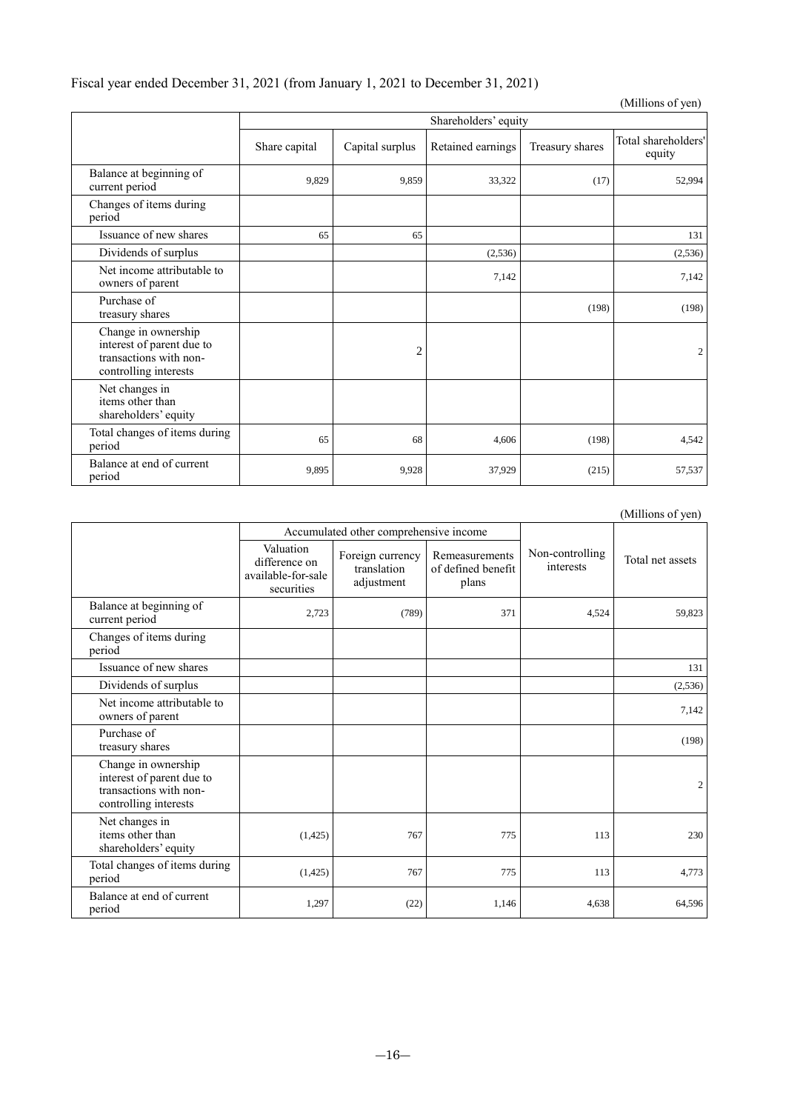# Fiscal year ended December 31, 2021 (from January 1, 2021 to December 31, 2021)

|                                                                                                     |               |                 |                      |                 | (Millions of yen)             |
|-----------------------------------------------------------------------------------------------------|---------------|-----------------|----------------------|-----------------|-------------------------------|
|                                                                                                     |               |                 | Shareholders' equity |                 |                               |
|                                                                                                     | Share capital | Capital surplus | Retained earnings    | Treasury shares | Total shareholders'<br>equity |
| Balance at beginning of<br>current period                                                           | 9,829         | 9.859           | 33,322               | (17)            | 52,994                        |
| Changes of items during<br>period                                                                   |               |                 |                      |                 |                               |
| Issuance of new shares                                                                              | 65            | 65              |                      |                 | 131                           |
| Dividends of surplus                                                                                |               |                 | (2,536)              |                 | (2,536)                       |
| Net income attributable to<br>owners of parent                                                      |               |                 | 7,142                |                 | 7,142                         |
| Purchase of<br>treasury shares                                                                      |               |                 |                      | (198)           | (198)                         |
| Change in ownership<br>interest of parent due to<br>transactions with non-<br>controlling interests |               | $\overline{c}$  |                      |                 | 2                             |
| Net changes in<br>items other than<br>shareholders' equity                                          |               |                 |                      |                 |                               |
| Total changes of items during<br>period                                                             | 65            | 68              | 4,606                | (198)           | 4,542                         |
| Balance at end of current<br>period                                                                 | 9,895         | 9,928           | 37,929               | (215)           | 57,537                        |

(Millions of yen)

|                                                                                                     |                                                                | Accumulated other comprehensive income        |                                               |                              |                  |
|-----------------------------------------------------------------------------------------------------|----------------------------------------------------------------|-----------------------------------------------|-----------------------------------------------|------------------------------|------------------|
|                                                                                                     | Valuation<br>difference on<br>available-for-sale<br>securities | Foreign currency<br>translation<br>adjustment | Remeasurements<br>of defined benefit<br>plans | Non-controlling<br>interests | Total net assets |
| Balance at beginning of<br>current period                                                           | 2,723                                                          | (789)                                         | 371                                           | 4,524                        | 59,823           |
| Changes of items during<br>period                                                                   |                                                                |                                               |                                               |                              |                  |
| Issuance of new shares                                                                              |                                                                |                                               |                                               |                              | 131              |
| Dividends of surplus                                                                                |                                                                |                                               |                                               |                              | (2,536)          |
| Net income attributable to<br>owners of parent                                                      |                                                                |                                               |                                               |                              | 7,142            |
| Purchase of<br>treasury shares                                                                      |                                                                |                                               |                                               |                              | (198)            |
| Change in ownership<br>interest of parent due to<br>transactions with non-<br>controlling interests |                                                                |                                               |                                               |                              | $\overline{c}$   |
| Net changes in<br>items other than<br>shareholders' equity                                          | (1, 425)                                                       | 767                                           | 775                                           | 113                          | 230              |
| Total changes of items during<br>period                                                             | (1,425)                                                        | 767                                           | 775                                           | 113                          | 4,773            |
| Balance at end of current<br>period                                                                 | 1,297                                                          | (22)                                          | 1,146                                         | 4,638                        | 64,596           |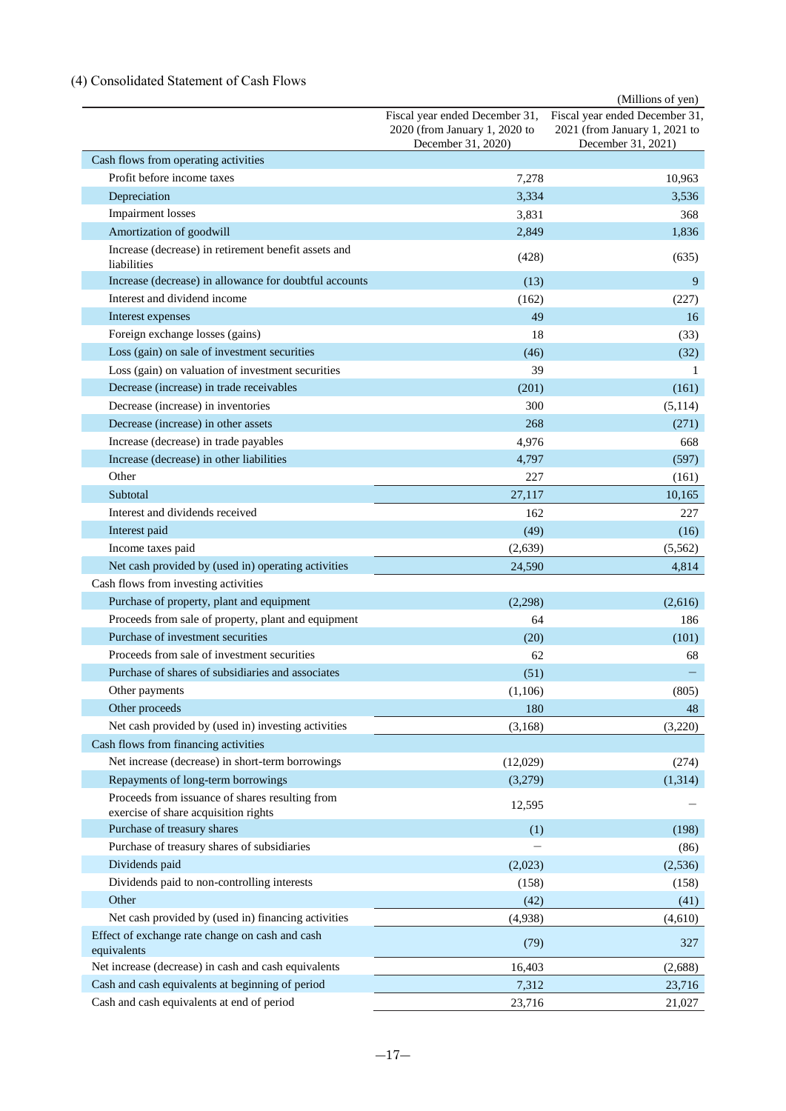# <span id="page-19-0"></span>(4) Consolidated Statement of Cash Flows

|                                                                                                          |                                                                                       | (Millions of yen)                                                                     |
|----------------------------------------------------------------------------------------------------------|---------------------------------------------------------------------------------------|---------------------------------------------------------------------------------------|
|                                                                                                          | Fiscal year ended December 31,<br>2020 (from January 1, 2020 to<br>December 31, 2020) | Fiscal year ended December 31,<br>2021 (from January 1, 2021 to<br>December 31, 2021) |
| Cash flows from operating activities                                                                     |                                                                                       |                                                                                       |
| Profit before income taxes                                                                               | 7,278                                                                                 | 10,963                                                                                |
| Depreciation                                                                                             | 3,334                                                                                 | 3,536                                                                                 |
| <b>Impairment</b> losses                                                                                 | 3,831                                                                                 | 368                                                                                   |
| Amortization of goodwill                                                                                 | 2,849                                                                                 | 1,836                                                                                 |
| Increase (decrease) in retirement benefit assets and<br>liabilities                                      | (428)                                                                                 | (635)                                                                                 |
| Increase (decrease) in allowance for doubtful accounts                                                   | (13)                                                                                  | 9                                                                                     |
| Interest and dividend income                                                                             | (162)                                                                                 | (227)                                                                                 |
| Interest expenses                                                                                        | 49                                                                                    | 16                                                                                    |
| Foreign exchange losses (gains)                                                                          | 18                                                                                    | (33)                                                                                  |
| Loss (gain) on sale of investment securities                                                             | (46)                                                                                  | (32)                                                                                  |
| Loss (gain) on valuation of investment securities                                                        | 39                                                                                    | 1                                                                                     |
| Decrease (increase) in trade receivables                                                                 | (201)                                                                                 | (161)                                                                                 |
| Decrease (increase) in inventories                                                                       | 300                                                                                   | (5, 114)                                                                              |
| Decrease (increase) in other assets                                                                      | 268                                                                                   | (271)                                                                                 |
| Increase (decrease) in trade payables                                                                    | 4,976                                                                                 | 668                                                                                   |
| Increase (decrease) in other liabilities                                                                 | 4,797                                                                                 | (597)                                                                                 |
| Other                                                                                                    | 227                                                                                   |                                                                                       |
| Subtotal                                                                                                 | 27,117                                                                                | (161)<br>10,165                                                                       |
| Interest and dividends received                                                                          | 162                                                                                   | 227                                                                                   |
| Interest paid                                                                                            | (49)                                                                                  | (16)                                                                                  |
|                                                                                                          |                                                                                       |                                                                                       |
| Income taxes paid<br>Net cash provided by (used in) operating activities                                 | (2,639)                                                                               | (5,562)                                                                               |
| Cash flows from investing activities                                                                     | 24,590                                                                                | 4,814                                                                                 |
| Purchase of property, plant and equipment                                                                |                                                                                       |                                                                                       |
|                                                                                                          | (2,298)                                                                               | (2,616)                                                                               |
| Proceeds from sale of property, plant and equipment<br>Purchase of investment securities                 | 64                                                                                    | 186                                                                                   |
| Proceeds from sale of investment securities                                                              | (20)                                                                                  | (101)                                                                                 |
|                                                                                                          | 62                                                                                    | 68                                                                                    |
| Purchase of shares of subsidiaries and associates                                                        | (51)                                                                                  |                                                                                       |
| Other payments                                                                                           | (1,106)                                                                               | (805)                                                                                 |
| Other proceeds                                                                                           | 180                                                                                   | 48                                                                                    |
| Net cash provided by (used in) investing activities                                                      | (3,168)                                                                               | (3,220)                                                                               |
| Cash flows from financing activities                                                                     |                                                                                       |                                                                                       |
| Net increase (decrease) in short-term borrowings                                                         | (12,029)                                                                              | (274)                                                                                 |
| Repayments of long-term borrowings                                                                       | (3,279)                                                                               | (1,314)                                                                               |
| Proceeds from issuance of shares resulting from<br>exercise of share acquisition rights                  | 12,595                                                                                |                                                                                       |
| Purchase of treasury shares                                                                              | (1)                                                                                   | (198)                                                                                 |
| Purchase of treasury shares of subsidiaries                                                              | $\overline{\phantom{0}}$                                                              | (86)                                                                                  |
| Dividends paid                                                                                           | (2,023)                                                                               |                                                                                       |
| Dividends paid to non-controlling interests                                                              | (158)                                                                                 | (2, 536)<br>(158)                                                                     |
| Other                                                                                                    |                                                                                       |                                                                                       |
| Net cash provided by (used in) financing activities                                                      | (42)                                                                                  | (41)                                                                                  |
| Effect of exchange rate change on cash and cash                                                          | (4,938)<br>(79)                                                                       | (4,610)<br>327                                                                        |
| equivalents                                                                                              |                                                                                       |                                                                                       |
| Net increase (decrease) in cash and cash equivalents<br>Cash and cash equivalents at beginning of period | 16,403                                                                                | (2,688)                                                                               |
|                                                                                                          | 7,312                                                                                 | 23,716                                                                                |
| Cash and cash equivalents at end of period                                                               | 23,716                                                                                | 21,027                                                                                |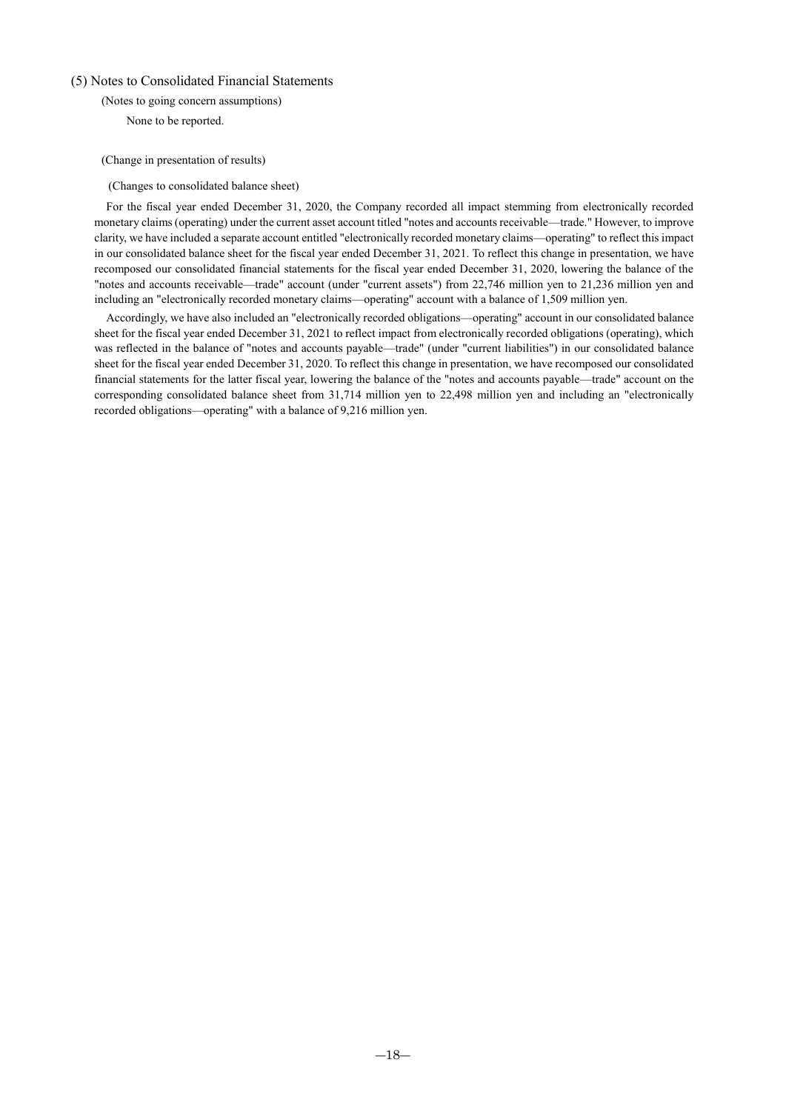### <span id="page-20-1"></span><span id="page-20-0"></span>(5) Notes to Consolidated Financial Statements

(Notes to going concern assumptions)

None to be reported.

### <span id="page-20-2"></span>(Change in presentation of results)

(Changes to consolidated balance sheet)

For the fiscal year ended December 31, 2020, the Company recorded all impact stemming from electronically recorded monetary claims (operating) under the current asset account titled "notes and accounts receivable—trade." However, to improve clarity, we have included a separate account entitled "electronically recorded monetary claims—operating" to reflect this impact in our consolidated balance sheet for the fiscal year ended December 31, 2021. To reflect this change in presentation, we have recomposed our consolidated financial statements for the fiscal year ended December 31, 2020, lowering the balance of the "notes and accounts receivable—trade" account (under "current assets") from 22,746 million yen to 21,236 million yen and including an "electronically recorded monetary claims—operating" account with a balance of 1,509 million yen.

Accordingly, we have also included an "electronically recorded obligations—operating" account in our consolidated balance sheet for the fiscal year ended December 31, 2021 to reflect impact from electronically recorded obligations (operating), which was reflected in the balance of "notes and accounts payable—trade" (under "current liabilities") in our consolidated balance sheet for the fiscal year ended December 31, 2020. To reflect this change in presentation, we have recomposed our consolidated financial statements for the latter fiscal year, lowering the balance of the "notes and accounts payable—trade" account on the corresponding consolidated balance sheet from 31,714 million yen to 22,498 million yen and including an "electronically recorded obligations—operating" with a balance of 9,216 million yen.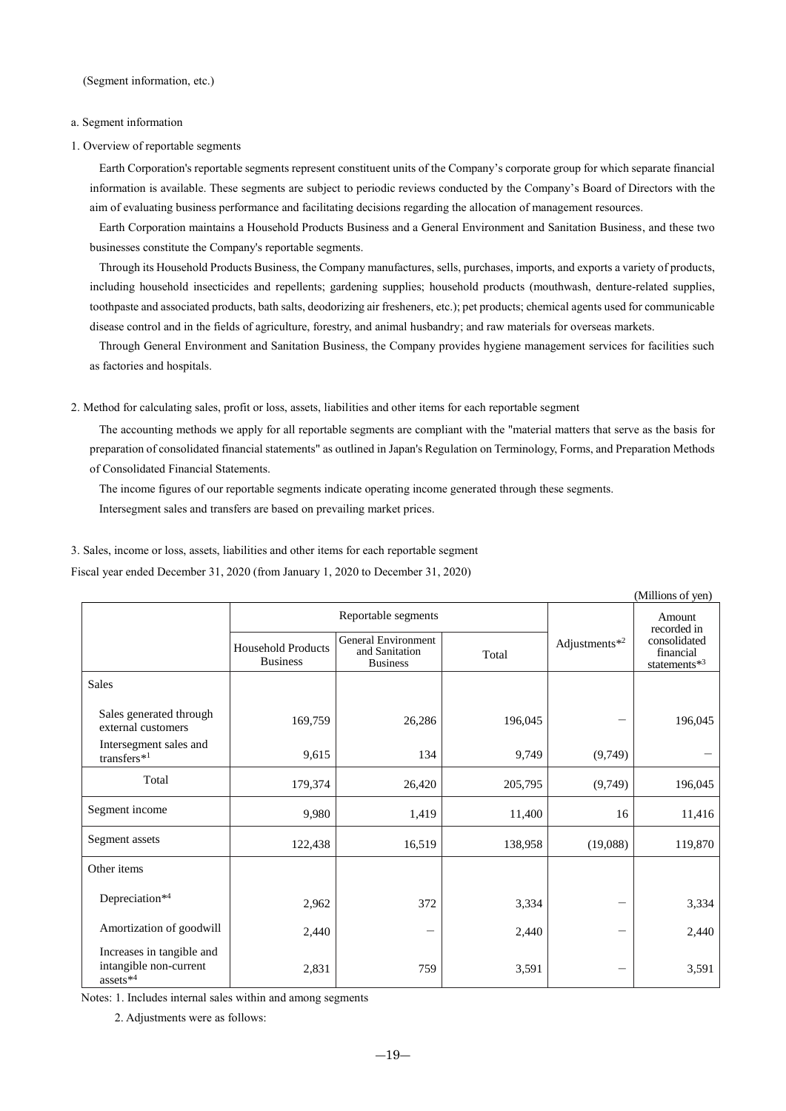<span id="page-21-0"></span>(Segment information, etc.)

### a. Segment information

1. Overview of reportable segments

Earth Corporation's reportable segments represent constituent units of the Company's corporate group for which separate financial information is available. These segments are subject to periodic reviews conducted by the Company's Board of Directors with the aim of evaluating business performance and facilitating decisions regarding the allocation of management resources.

Earth Corporation maintains a Household Products Business and a General Environment and Sanitation Business, and these two businesses constitute the Company's reportable segments.

Through its Household Products Business, the Company manufactures, sells, purchases, imports, and exports a variety of products, including household insecticides and repellents; gardening supplies; household products (mouthwash, denture-related supplies, toothpaste and associated products, bath salts, deodorizing air fresheners, etc.); pet products; chemical agents used for communicable disease control and in the fields of agriculture, forestry, and animal husbandry; and raw materials for overseas markets.

Through General Environment and Sanitation Business, the Company provides hygiene management services for facilities such as factories and hospitals.

2. Method for calculating sales, profit or loss, assets, liabilities and other items for each reportable segment

The accounting methods we apply for all reportable segments are compliant with the "material matters that serve as the basis for preparation of consolidated financial statements" as outlined in Japan's Regulation on Terminology, Forms, and Preparation Methods of Consolidated Financial Statements.

The income figures of our reportable segments indicate operating income generated through these segments.

Intersegment sales and transfers are based on prevailing market prices.

#### 3. Sales, income or loss, assets, liabilities and other items for each reportable segment

Fiscal year ended December 31, 2020 (from January 1, 2020 to December 31, 2020)

|                                                                             |                                              |                                                                          |         |               | (Millions of yen)                         |  |
|-----------------------------------------------------------------------------|----------------------------------------------|--------------------------------------------------------------------------|---------|---------------|-------------------------------------------|--|
|                                                                             |                                              | Reportable segments                                                      |         |               | Amount<br>recorded in                     |  |
|                                                                             | <b>Household Products</b><br><b>Business</b> | <b>General Environment</b><br>and Sanitation<br>Total<br><b>Business</b> |         | Adjustments*2 | consolidated<br>financial<br>statements*3 |  |
| <b>Sales</b>                                                                |                                              |                                                                          |         |               |                                           |  |
| Sales generated through<br>external customers                               | 169,759                                      | 26,286                                                                   | 196,045 |               | 196,045                                   |  |
| Intersegment sales and<br>transfers <sup>*1</sup>                           | 9,615                                        | 134                                                                      | 9,749   | (9,749)       |                                           |  |
| Total                                                                       | 179,374                                      | 26,420                                                                   | 205,795 | (9,749)       | 196,045                                   |  |
| Segment income                                                              | 9,980                                        | 1,419                                                                    | 11,400  | 16            | 11,416                                    |  |
| Segment assets                                                              | 122,438                                      | 16,519                                                                   | 138,958 | (19,088)      | 119,870                                   |  |
| Other items                                                                 |                                              |                                                                          |         |               |                                           |  |
| Depreciation*4                                                              | 2,962                                        | 372                                                                      | 3,334   |               | 3,334                                     |  |
| Amortization of goodwill                                                    | 2,440                                        | -                                                                        | 2,440   |               | 2,440                                     |  |
| Increases in tangible and<br>intangible non-current<br>assets <sup>*4</sup> | 2,831                                        | 759                                                                      | 3,591   |               | 3,591                                     |  |

Notes: 1. Includes internal sales within and among segments

2. Adjustments were as follows: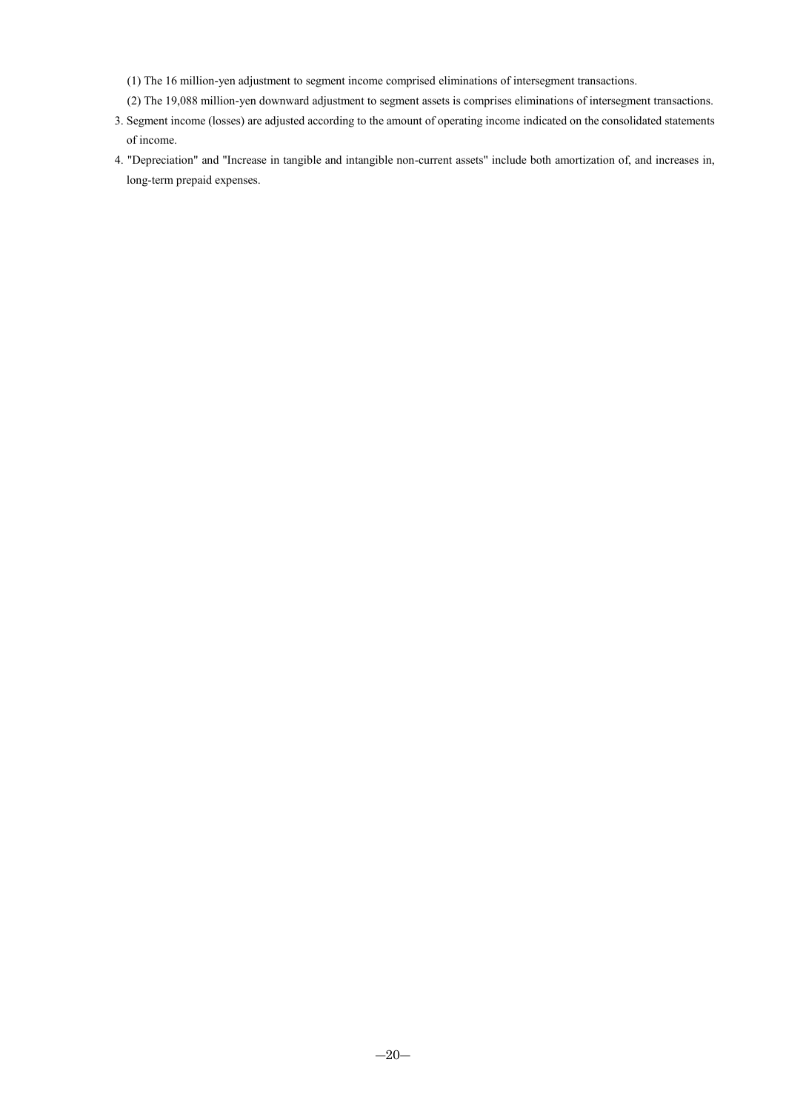(1) The 16 million-yen adjustment to segment income comprised eliminations of intersegment transactions.

- (2) The 19,088 million-yen downward adjustment to segment assets is comprises eliminations of intersegment transactions.
- 3. Segment income (losses) are adjusted according to the amount of operating income indicated on the consolidated statements of income.
- 4. "Depreciation" and "Increase in tangible and intangible non-current assets" include both amortization of, and increases in, long-term prepaid expenses.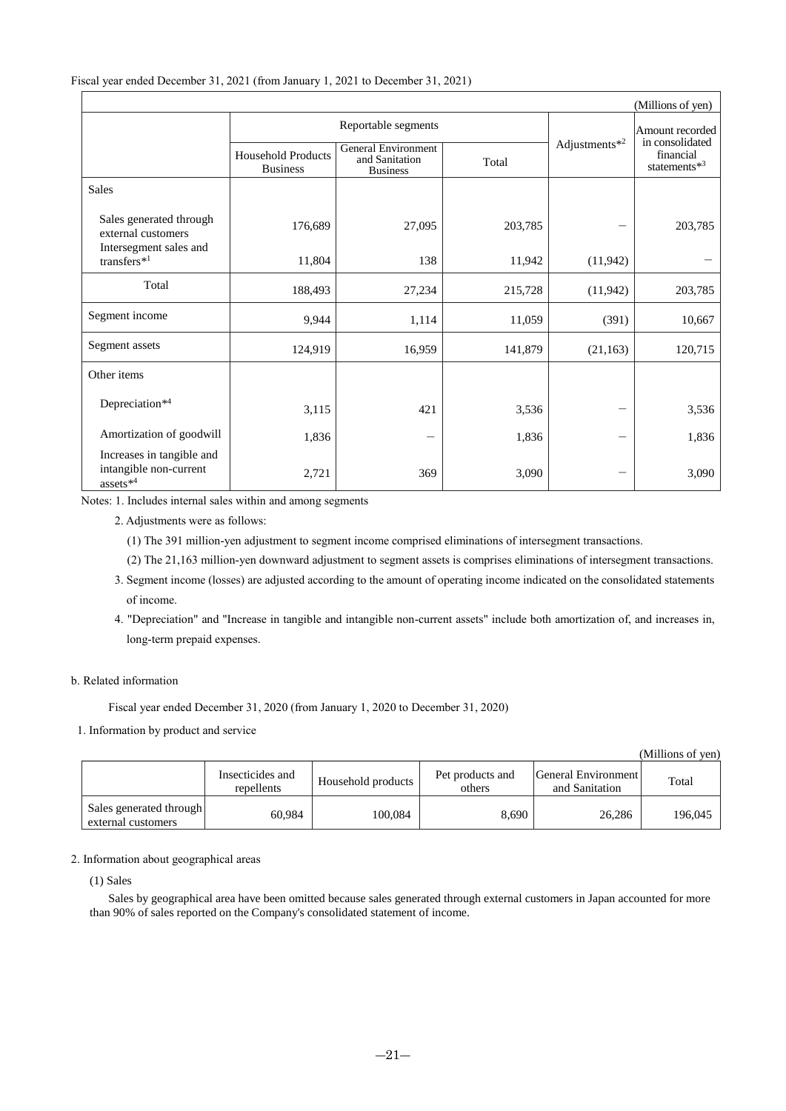|                                                                         |                                              |                                                          |         |                           | (Millions of yen)                               |  |
|-------------------------------------------------------------------------|----------------------------------------------|----------------------------------------------------------|---------|---------------------------|-------------------------------------------------|--|
|                                                                         |                                              | Reportable segments                                      |         |                           | Amount recorded                                 |  |
|                                                                         | <b>Household Products</b><br><b>Business</b> | General Environment<br>and Sanitation<br><b>Business</b> | Total   | Adjustments <sup>*2</sup> | in consolidated<br>financial<br>statements $*3$ |  |
| <b>Sales</b>                                                            |                                              |                                                          |         |                           |                                                 |  |
| Sales generated through<br>external customers<br>Intersegment sales and | 176,689                                      | 27,095                                                   | 203,785 |                           | 203,785                                         |  |
| transfers <sup>*1</sup>                                                 | 11,804                                       | 138                                                      | 11,942  | (11, 942)                 |                                                 |  |
| Total                                                                   | 188,493                                      | 27,234                                                   | 215,728 | (11, 942)                 | 203,785                                         |  |
| Segment income                                                          | 9,944                                        | 1,114                                                    | 11,059  | (391)                     | 10,667                                          |  |
| Segment assets                                                          | 124,919                                      | 16,959                                                   | 141,879 | (21, 163)                 | 120,715                                         |  |
| Other items                                                             |                                              |                                                          |         |                           |                                                 |  |
| Depreciation*4                                                          | 3,115                                        | 421                                                      | 3,536   |                           | 3,536                                           |  |
| Amortization of goodwill                                                | 1,836                                        |                                                          | 1,836   |                           | 1,836                                           |  |
| Increases in tangible and<br>intangible non-current                     | 2,721                                        | 369                                                      | 3,090   |                           | 3,090                                           |  |
| assets $^{\ast4}$                                                       |                                              |                                                          |         |                           |                                                 |  |

Notes: 1. Includes internal sales within and among segments

2. Adjustments were as follows:

(1) The 391 million-yen adjustment to segment income comprised eliminations of intersegment transactions.

(2) The 21,163 million-yen downward adjustment to segment assets is comprises eliminations of intersegment transactions.

- 3. Segment income (losses) are adjusted according to the amount of operating income indicated on the consolidated statements of income.
- 4. "Depreciation" and "Increase in tangible and intangible non-current assets" include both amortization of, and increases in, long-term prepaid expenses.

### b. Related information

Fiscal year ended December 31, 2020 (from January 1, 2020 to December 31, 2020)

1. Information by product and service

(Millions of yen)

|                                               | Insecticides and<br>repellents | Household products | Pet products and<br>others | General Environment<br>and Sanitation | Total   |
|-----------------------------------------------|--------------------------------|--------------------|----------------------------|---------------------------------------|---------|
| Sales generated through<br>external customers | 60.984                         | 100.084            | 8.690                      | 26,286                                | 196,045 |

### 2. Information about geographical areas

(1) Sales

Sales by geographical area have been omitted because sales generated through external customers in Japan accounted for more than 90% of sales reported on the Company's consolidated statement of income.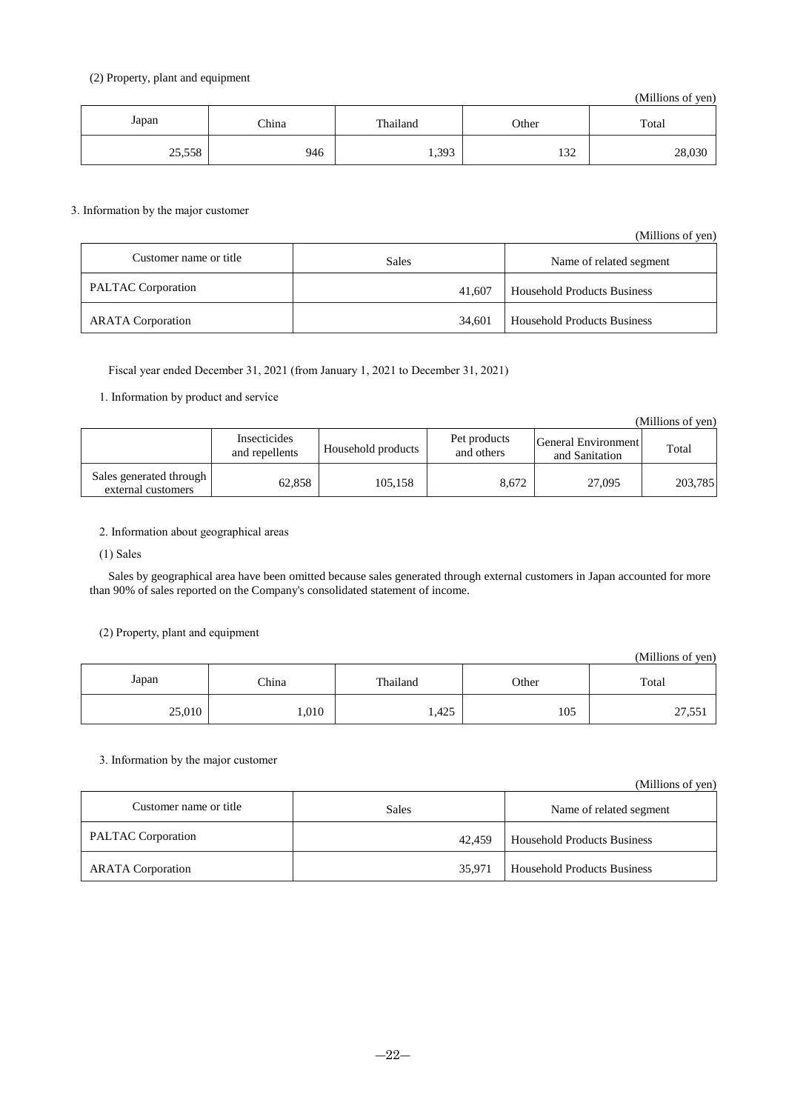## (2) Property, plant and equipment

(Millions of yen)

| Japan  | China | Thailand | Other             | Total  |
|--------|-------|----------|-------------------|--------|
| 25,558 | 946   | 1,393    | $\Omega$<br>1 J 4 | 28,030 |

## 3. Information by the major customer

|                           |              | (Millions of yen)                  |
|---------------------------|--------------|------------------------------------|
| Customer name or title    | <b>Sales</b> | Name of related segment            |
| <b>PALTAC</b> Corporation | 41,607       | <b>Household Products Business</b> |
| <b>ARATA</b> Corporation  | 34.601       | <b>Household Products Business</b> |

Fiscal year ended December 31, 2021 (from January 1, 2021 to December 31, 2021)

## 1. Information by product and service

(Millions of yen)

|                                                 | Insecticides<br>and repellents | Household products | Pet products<br>and others | General Environment<br>and Sanitation | Total   |
|-------------------------------------------------|--------------------------------|--------------------|----------------------------|---------------------------------------|---------|
| Sales generated through  <br>external customers | 62.858                         | 105.158            | 8.672                      | 27,095                                | 203.785 |

## 2. Information about geographical areas

(1) Sales

Sales by geographical area have been omitted because sales generated through external customers in Japan accounted for more than 90% of sales reported on the Company's consolidated statement of income.

## (2) Property, plant and equipment

(Millions of yen)

| Japan  | China | Thailand | Other | Total                           |
|--------|-------|----------|-------|---------------------------------|
| 25,010 | 0.010 | 1,425    | 105   | ^¬<br>55 <sup>o</sup><br>21,001 |

## 3. Information by the major customer

## (Millions of yen)

| Customer name or title    | Sales  | Name of related segment            |
|---------------------------|--------|------------------------------------|
| <b>PALTAC</b> Corporation | 42.459 | <b>Household Products Business</b> |
| <b>ARATA</b> Corporation  | 35.971 | <b>Household Products Business</b> |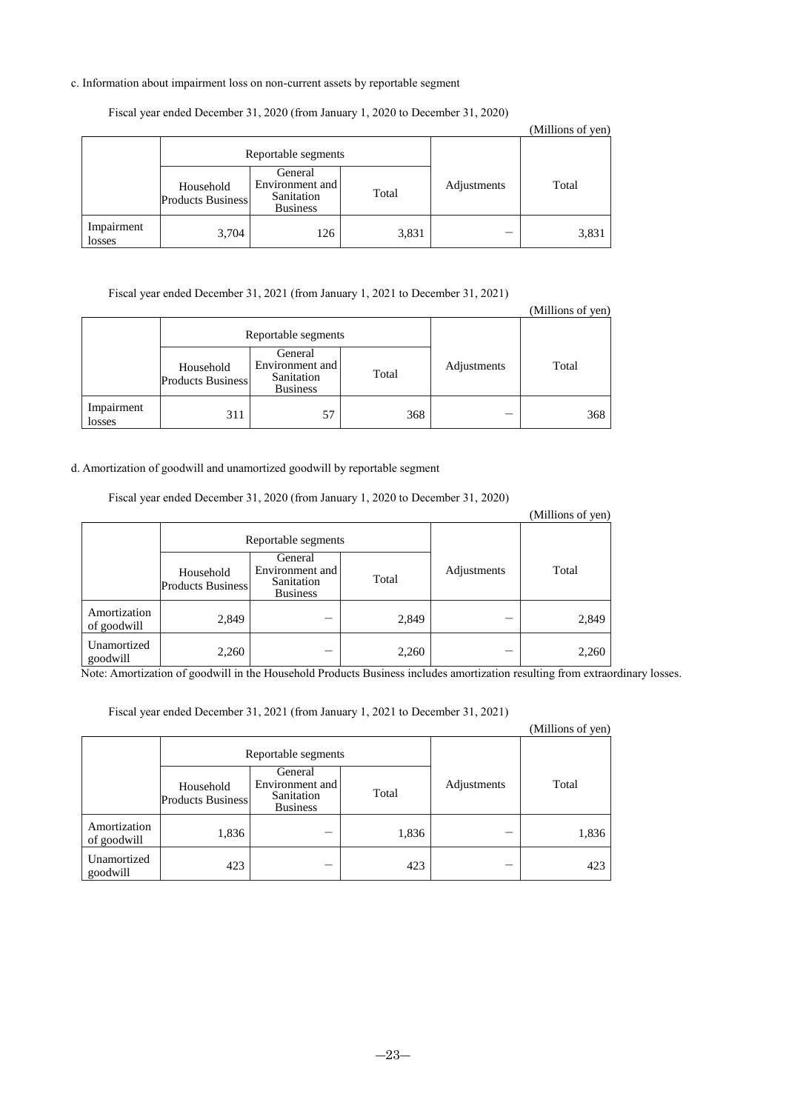## c. Information about impairment loss on non-current assets by reportable segment

|                      |                                       |                                                             |       |             | (Millions of yen) |
|----------------------|---------------------------------------|-------------------------------------------------------------|-------|-------------|-------------------|
|                      | Reportable segments                   |                                                             |       |             |                   |
|                      | Household<br><b>Products Business</b> | General<br>Environment and<br>Sanitation<br><b>Business</b> | Total | Adjustments | Total             |
| Impairment<br>losses | 3,704                                 | 126                                                         | 3,831 | _           | 3,831             |

## Fiscal year ended December 31, 2020 (from January 1, 2020 to December 31, 2020)

Fiscal year ended December 31, 2021 (from January 1, 2021 to December 31, 2021)

|                      |                                       |                                                             |       |             | (Millions of yen) |
|----------------------|---------------------------------------|-------------------------------------------------------------|-------|-------------|-------------------|
|                      | Reportable segments                   |                                                             |       |             |                   |
|                      | Household<br><b>Products Business</b> | General<br>Environment and<br>Sanitation<br><b>Business</b> | Total | Adjustments | Total             |
| Impairment<br>losses | 311                                   | 57                                                          | 368   | --          | 368               |

## d. Amortization of goodwill and unamortized goodwill by reportable segment

Fiscal year ended December 31, 2020 (from January 1, 2020 to December 31, 2020)

|                             |                                       |                                                             |       |             | (Millions of yen) |
|-----------------------------|---------------------------------------|-------------------------------------------------------------|-------|-------------|-------------------|
| Reportable segments         |                                       |                                                             |       |             |                   |
|                             | Household<br><b>Products Business</b> | General<br>Environment and<br>Sanitation<br><b>Business</b> | Total | Adjustments | Total             |
| Amortization<br>of goodwill | 2,849                                 |                                                             | 2,849 |             | 2,849             |
| Unamortized<br>goodwill     | 2,260                                 |                                                             | 2,260 | -           | 2,260             |

Note: Amortization of goodwill in the Household Products Business includes amortization resulting from extraordinary losses.

Fiscal year ended December 31, 2021 (from January 1, 2021 to December 31, 2021)

|                             | 1 10001 /001 011000 D 000111001 0 1   2021   11 0111 0011001 / 1   2021 00 D 000111001 0 1   2021 / |                                                             |       |             | (Millions of yen) |
|-----------------------------|-----------------------------------------------------------------------------------------------------|-------------------------------------------------------------|-------|-------------|-------------------|
|                             |                                                                                                     | Reportable segments                                         |       |             |                   |
|                             | Household<br><b>Products Business</b>                                                               | General<br>Environment and<br>Sanitation<br><b>Business</b> | Total | Adjustments | Total             |
| Amortization<br>of goodwill | 1,836                                                                                               |                                                             | 1,836 | _           | 1,836             |
| Unamortized<br>goodwill     | 423                                                                                                 |                                                             | 423   | _           | 423               |